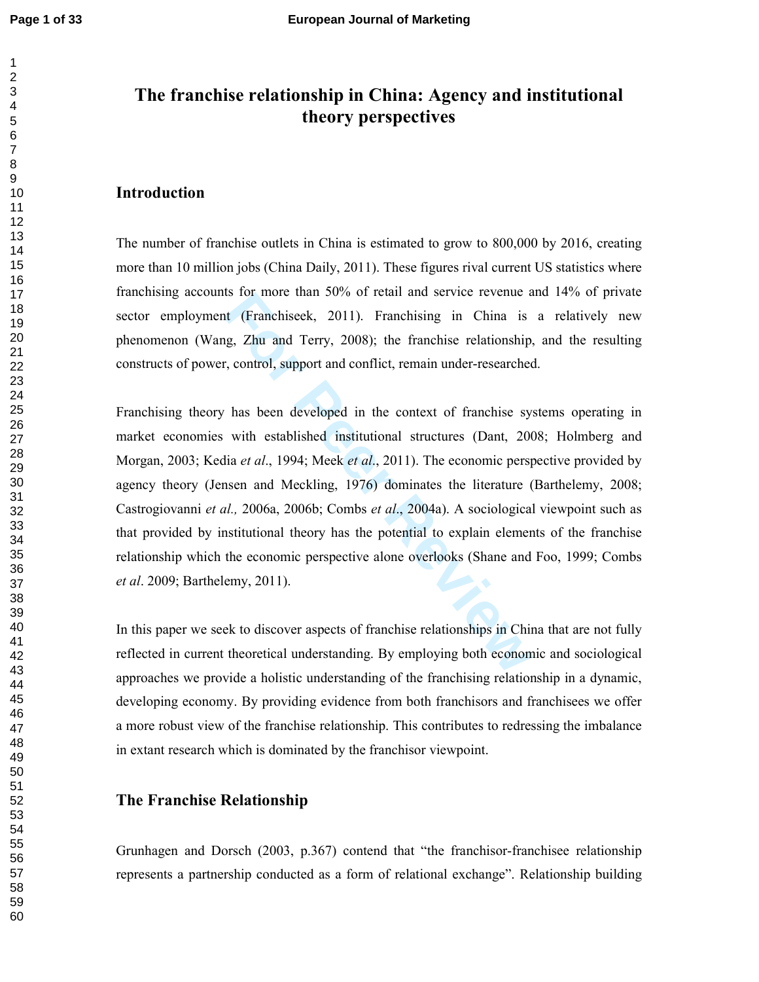# **The franchise relationship in China: Agency and institutional theory perspectives**

## **Introduction**

The number of franchise outlets in China is estimated to grow to 800,000 by 2016, creating more than 10 million jobs (China Daily, 2011). These figures rival current US statistics where franchising accounts for more than 50% of retail and service revenue and 14% of private sector employment (Franchiseek, 2011). Franchising in China is a relatively new phenomenon (Wang, Zhu and Terry, 2008); the franchise relationship, and the resulting constructs of power, control, support and conflict, remain under-researched.

It (Franchiseek, 2011). Franchising in China is<br>g, Zhu and Terry, 2008); the franchise relationship,<br>c, control, support and conflict, remain under-researched<br>has been developed in the context of franchise sy.<br>with establ Franchising theory has been developed in the context of franchise systems operating in market economies with established institutional structures (Dant, 2008; Holmberg and Morgan, 2003; Kedia *et al*., 1994; Meek *et al*., 2011). The economic perspective provided by agency theory (Jensen and Meckling, 1976) dominates the literature (Barthelemy, 2008; Castrogiovanni *et al.,* 2006a, 2006b; Combs *et al*., 2004a). A sociological viewpoint such as that provided by institutional theory has the potential to explain elements of the franchise relationship which the economic perspective alone overlooks (Shane and Foo, 1999; Combs *et al*. 2009; Barthelemy, 2011).

In this paper we seek to discover aspects of franchise relationships in China that are not fully reflected in current theoretical understanding. By employing both economic and sociological approaches we provide a holistic understanding of the franchising relationship in a dynamic, developing economy. By providing evidence from both franchisors and franchisees we offer a more robust view of the franchise relationship. This contributes to redressing the imbalance in extant research which is dominated by the franchisor viewpoint.

# **The Franchise Relationship**

Grunhagen and Dorsch (2003, p.367) contend that "the franchisor-franchisee relationship represents a partnership conducted as a form of relational exchange". Relationship building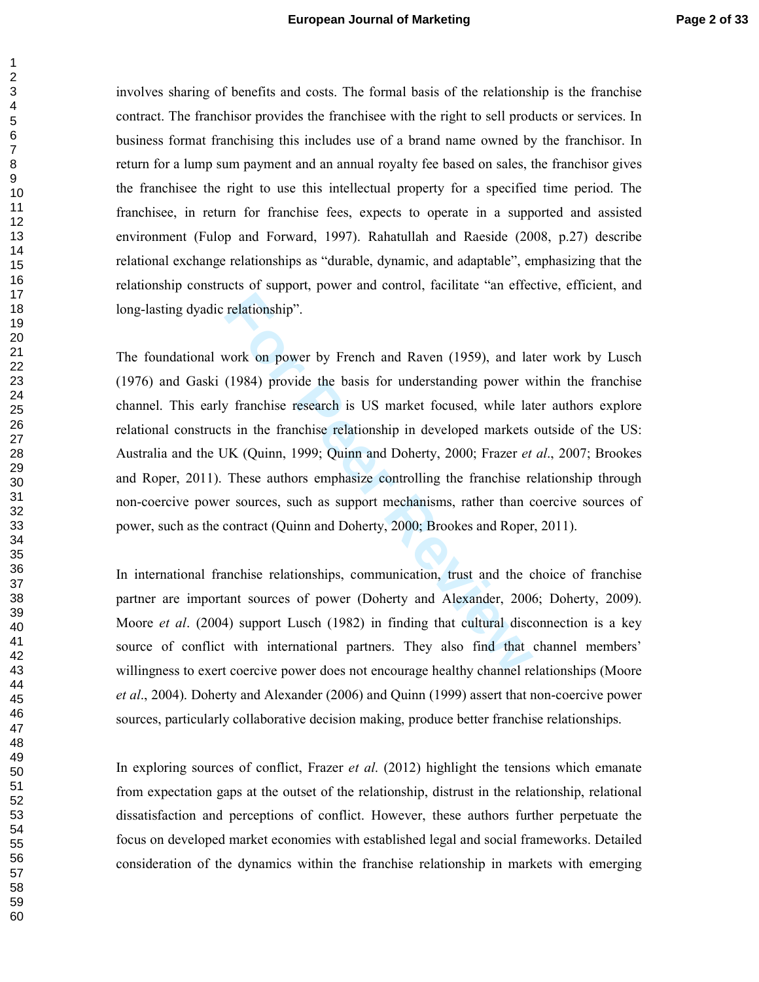involves sharing of benefits and costs. The formal basis of the relationship is the franchise contract. The franchisor provides the franchisee with the right to sell products or services. In business format franchising this includes use of a brand name owned by the franchisor. In return for a lump sum payment and an annual royalty fee based on sales, the franchisor gives the franchisee the right to use this intellectual property for a specified time period. The franchisee, in return for franchise fees, expects to operate in a supported and assisted environment (Fulop and Forward, 1997). Rahatullah and Raeside (2008, p.27) describe relational exchange relationships as "durable, dynamic, and adaptable", emphasizing that the relationship constructs of support, power and control, facilitate "an effective, efficient, and long-lasting dyadic relationship".

relationship".<br>
work on power by French and Raven (1959), and lat<br>
(1984) provide the basis for understanding power w<br>
franchise research is US market focused, while lat<br>
is in the franchise relationship in developed marke The foundational work on power by French and Raven (1959), and later work by Lusch (1976) and Gaski (1984) provide the basis for understanding power within the franchise channel. This early franchise research is US market focused, while later authors explore relational constructs in the franchise relationship in developed markets outside of the US: Australia and the UK (Quinn, 1999; Quinn and Doherty, 2000; Frazer *et al*., 2007; Brookes and Roper, 2011). These authors emphasize controlling the franchise relationship through non-coercive power sources, such as support mechanisms, rather than coercive sources of power, such as the contract (Quinn and Doherty, 2000; Brookes and Roper, 2011).

In international franchise relationships, communication, trust and the choice of franchise partner are important sources of power (Doherty and Alexander, 2006; Doherty, 2009). Moore *et al*. (2004) support Lusch (1982) in finding that cultural disconnection is a key source of conflict with international partners. They also find that channel members' willingness to exert coercive power does not encourage healthy channel relationships (Moore *et al*., 2004). Doherty and Alexander (2006) and Quinn (1999) assert that non-coercive power sources, particularly collaborative decision making, produce better franchise relationships.

In exploring sources of conflict, Frazer *et al*. (2012) highlight the tensions which emanate from expectation gaps at the outset of the relationship, distrust in the relationship, relational dissatisfaction and perceptions of conflict. However, these authors further perpetuate the focus on developed market economies with established legal and social frameworks. Detailed consideration of the dynamics within the franchise relationship in markets with emerging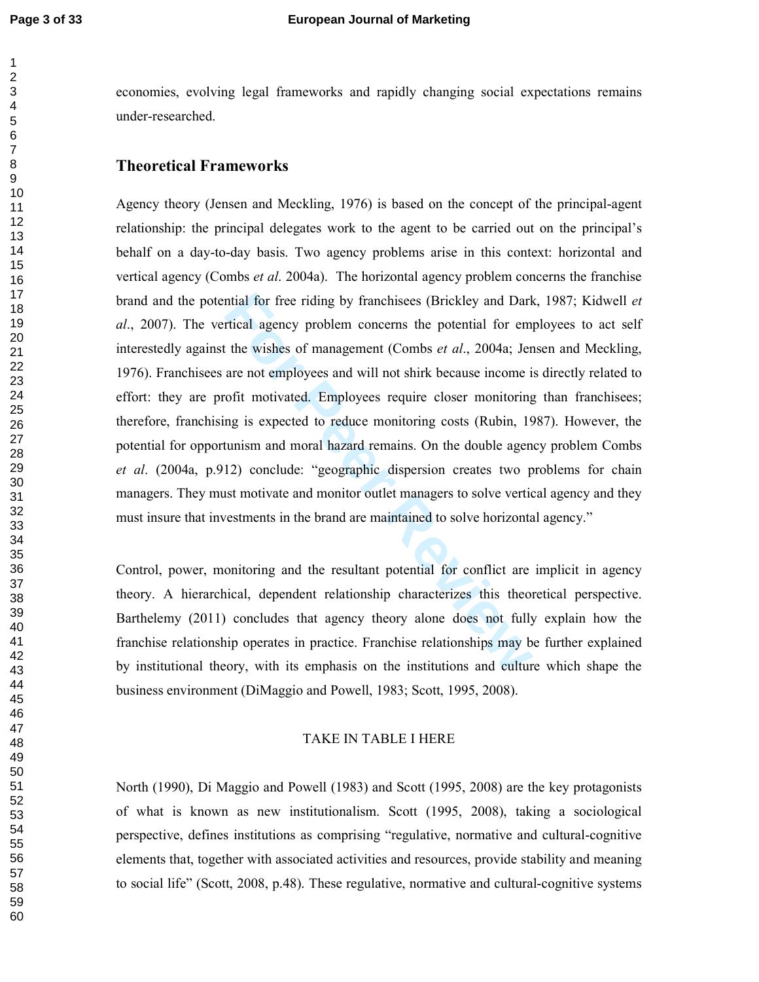economies, evolving legal frameworks and rapidly changing social expectations remains under-researched.

## **Theoretical Frameworks**

ntial for free riding by franchisees (Brickley and Dark<br>rtical agency problem concerns the potential for emp<br>the wishes of management (Combs *et al.*, 2004a; Jer<br>are not employees and will not shirk because income i<br>ofit m Agency theory (Jensen and Meckling, 1976) is based on the concept of the principal-agent relationship: the principal delegates work to the agent to be carried out on the principal's behalf on a day-to-day basis. Two agency problems arise in this context: horizontal and vertical agency (Combs *et al*. 2004a). The horizontal agency problem concerns the franchise brand and the potential for free riding by franchisees (Brickley and Dark, 1987; Kidwell *et al*., 2007). The vertical agency problem concerns the potential for employees to act self interestedly against the wishes of management (Combs *et al*., 2004a; Jensen and Meckling, 1976). Franchisees are not employees and will not shirk because income is directly related to effort: they are profit motivated. Employees require closer monitoring than franchisees; therefore, franchising is expected to reduce monitoring costs (Rubin, 1987). However, the potential for opportunism and moral hazard remains. On the double agency problem Combs *et al*. (2004a, p.912) conclude: "geographic dispersion creates two problems for chain managers. They must motivate and monitor outlet managers to solve vertical agency and they must insure that investments in the brand are maintained to solve horizontal agency."

Control, power, monitoring and the resultant potential for conflict are implicit in agency theory. A hierarchical, dependent relationship characterizes this theoretical perspective. Barthelemy (2011) concludes that agency theory alone does not fully explain how the franchise relationship operates in practice. Franchise relationships may be further explained by institutional theory, with its emphasis on the institutions and culture which shape the business environment (DiMaggio and Powell, 1983; Scott, 1995, 2008).

#### TAKE IN TABLE I HERE

North (1990), Di Maggio and Powell (1983) and Scott (1995, 2008) are the key protagonists of what is known as new institutionalism. Scott (1995, 2008), taking a sociological perspective, defines institutions as comprising "regulative, normative and cultural-cognitive elements that, together with associated activities and resources, provide stability and meaning to social life" (Scott, 2008, p.48). These regulative, normative and cultural-cognitive systems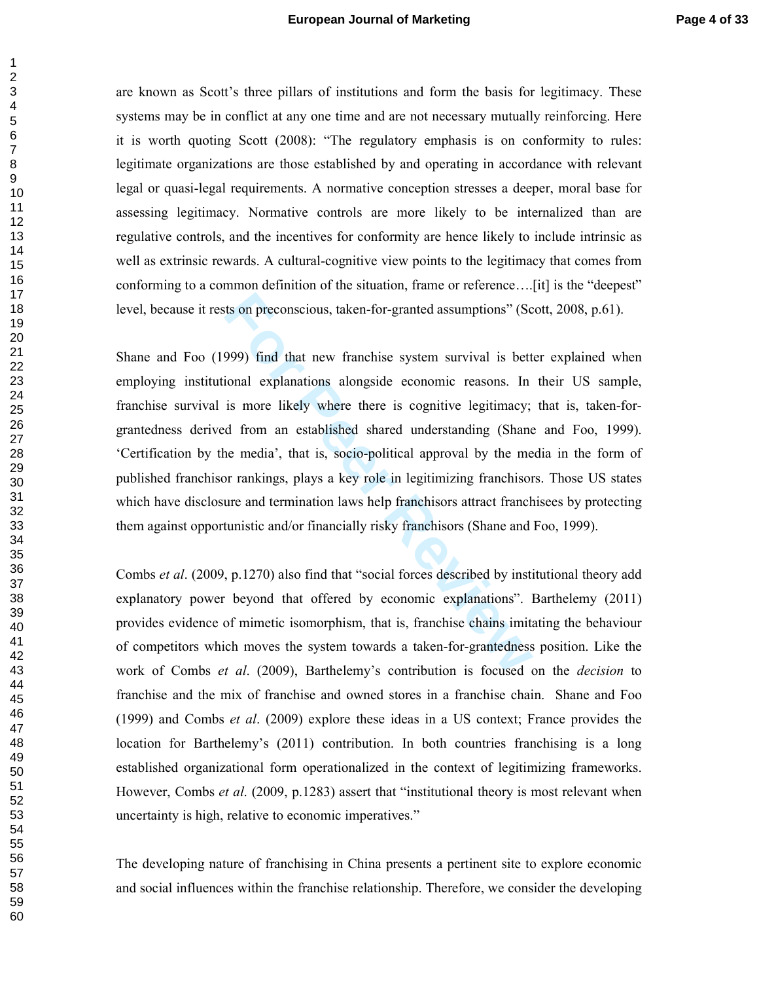are known as Scott's three pillars of institutions and form the basis for legitimacy. These systems may be in conflict at any one time and are not necessary mutually reinforcing. Here it is worth quoting Scott (2008): "The regulatory emphasis is on conformity to rules: legitimate organizations are those established by and operating in accordance with relevant legal or quasi-legal requirements. A normative conception stresses a deeper, moral base for assessing legitimacy. Normative controls are more likely to be internalized than are regulative controls, and the incentives for conformity are hence likely to include intrinsic as well as extrinsic rewards. A cultural-cognitive view points to the legitimacy that comes from conforming to a common definition of the situation, frame or reference….[it] is the "deepest" level, because it rests on preconscious, taken-for-granted assumptions" (Scott, 2008, p.61).

ts on preconscious, taken-for-granted assumptions" (Sc<br>999) find that new franchise system survival is bett<br>ional explanations alongside economic reasons. In<br>is more likely where there is cognitive legitimacy;<br>d from an es Shane and Foo (1999) find that new franchise system survival is better explained when employing institutional explanations alongside economic reasons. In their US sample, franchise survival is more likely where there is cognitive legitimacy; that is, taken-forgrantedness derived from an established shared understanding (Shane and Foo, 1999). 'Certification by the media', that is, socio-political approval by the media in the form of published franchisor rankings, plays a key role in legitimizing franchisors. Those US states which have disclosure and termination laws help franchisors attract franchisees by protecting them against opportunistic and/or financially risky franchisors (Shane and Foo, 1999).

Combs *et al*. (2009, p.1270) also find that "social forces described by institutional theory add explanatory power beyond that offered by economic explanations". Barthelemy (2011) provides evidence of mimetic isomorphism, that is, franchise chains imitating the behaviour of competitors which moves the system towards a taken-for-grantedness position. Like the work of Combs *et al*. (2009), Barthelemy's contribution is focused on the *decision* to franchise and the mix of franchise and owned stores in a franchise chain. Shane and Foo (1999) and Combs *et al*. (2009) explore these ideas in a US context; France provides the location for Barthelemy's (2011) contribution. In both countries franchising is a long established organizational form operationalized in the context of legitimizing frameworks. However, Combs *et al*. (2009, p.1283) assert that "institutional theory is most relevant when uncertainty is high, relative to economic imperatives."

The developing nature of franchising in China presents a pertinent site to explore economic and social influences within the franchise relationship. Therefore, we consider the developing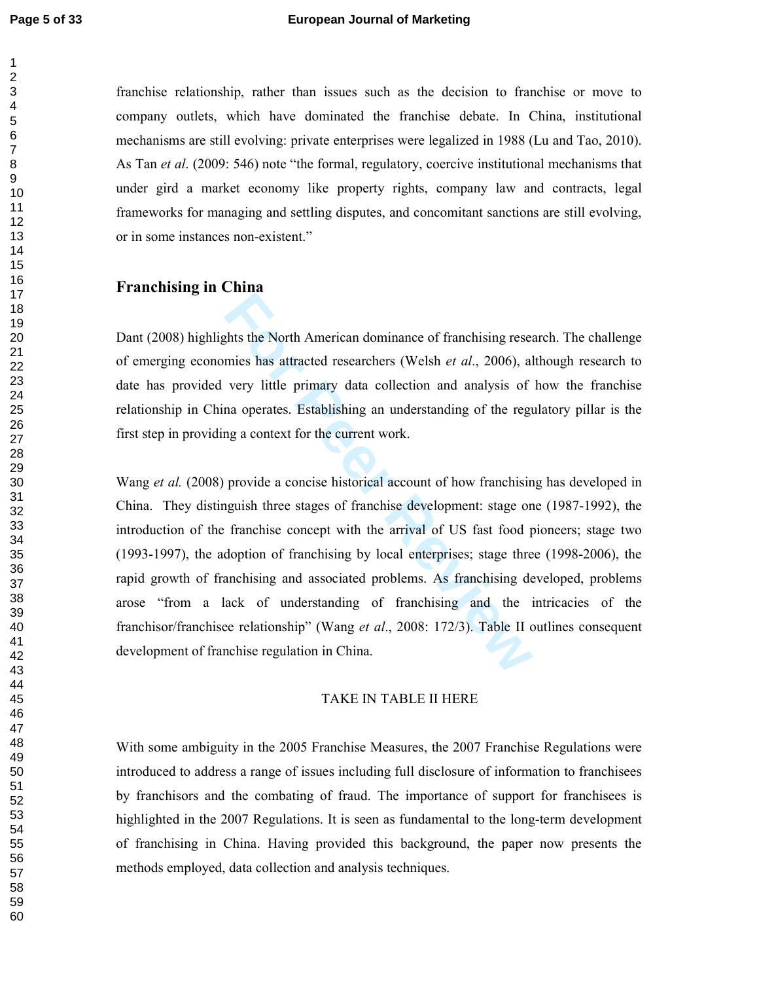franchise relationship, rather than issues such as the decision to franchise or move to company outlets, which have dominated the franchise debate. In China, institutional mechanisms are still evolving: private enterprises were legalized in 1988 (Lu and Tao, 2010). As Tan *et al*. (2009: 546) note "the formal, regulatory, coercive institutional mechanisms that under gird a market economy like property rights, company law and contracts, legal frameworks for managing and settling disputes, and concomitant sanctions are still evolving, or in some instances non-existent."

## **Franchising in China**

Dant (2008) highlights the North American dominance of franchising research. The challenge of emerging economies has attracted researchers (Welsh *et al*., 2006), although research to date has provided very little primary data collection and analysis of how the franchise relationship in China operates. Establishing an understanding of the regulatory pillar is the first step in providing a context for the current work.

Final Muslim and Muslim and Muslim Tenders (Welsh *et al., 2006*), all very little primary data collection and analysis of ma operates. Establishing an understanding of the reging a context for the current work.<br>
provide a Wang *et al.* (2008) provide a concise historical account of how franchising has developed in China. They distinguish three stages of franchise development: stage one (1987-1992), the introduction of the franchise concept with the arrival of US fast food pioneers; stage two (1993-1997), the adoption of franchising by local enterprises; stage three (1998-2006), the rapid growth of franchising and associated problems. As franchising developed, problems arose "from a lack of understanding of franchising and the intricacies of the franchisor/franchisee relationship" (Wang *et al*., 2008: 172/3). Table II outlines consequent development of franchise regulation in China.

#### TAKE IN TABLE II HERE

With some ambiguity in the 2005 Franchise Measures, the 2007 Franchise Regulations were introduced to address a range of issues including full disclosure of information to franchisees by franchisors and the combating of fraud. The importance of support for franchisees is highlighted in the 2007 Regulations. It is seen as fundamental to the long-term development of franchising in China. Having provided this background, the paper now presents the methods employed, data collection and analysis techniques.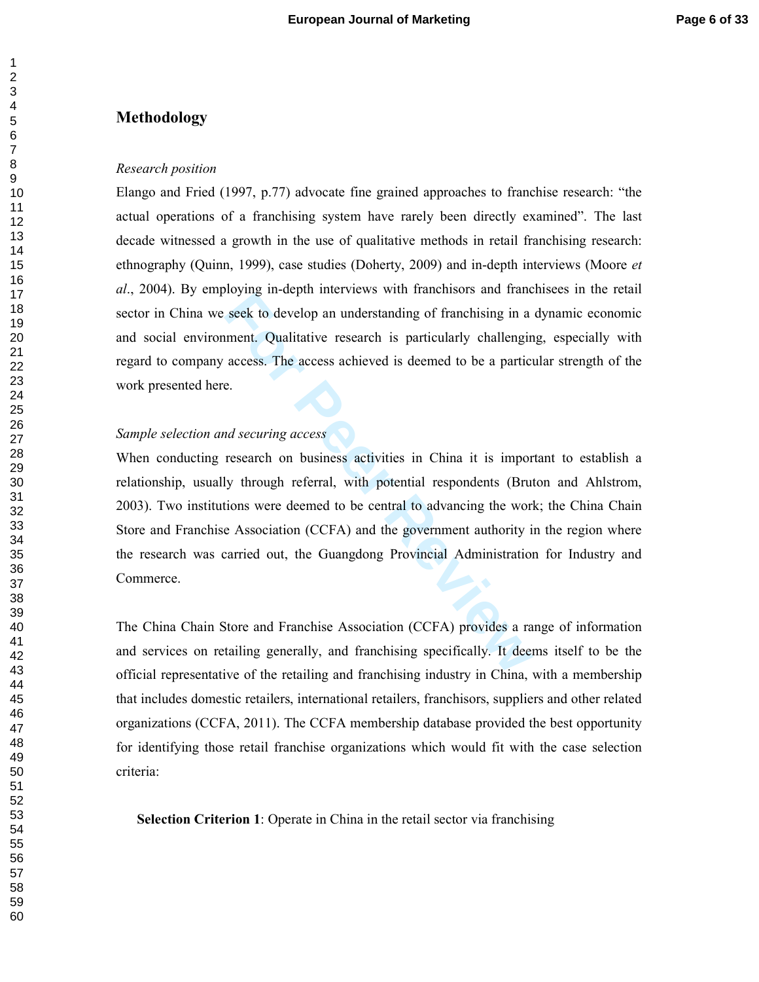## **Methodology**

#### *Research position*

Elango and Fried (1997, p.77) advocate fine grained approaches to franchise research: "the actual operations of a franchising system have rarely been directly examined". The last decade witnessed a growth in the use of qualitative methods in retail franchising research: ethnography (Quinn, 1999), case studies (Doherty, 2009) and in-depth interviews (Moore *et al*., 2004). By employing in-depth interviews with franchisors and franchisees in the retail sector in China we seek to develop an understanding of franchising in a dynamic economic and social environment. Qualitative research is particularly challenging, especially with regard to company access. The access achieved is deemed to be a particular strength of the work presented here.

## *Sample selection and securing access*

**For Peer Review COMPT AND THE CONSTRANT CONSTRANT SERVIE SERVIE SERVIE SERVIE SERVIE SERVIE SERVIE SERVIE SERVIE SERVIE SERVIE SERVIE SERVIE SERVIE SERVIET SERVIET SERVIET SERVIET SERVIET SERVIET SERVIET SERVIET SERVIET S** When conducting research on business activities in China it is important to establish a relationship, usually through referral, with potential respondents (Bruton and Ahlstrom, 2003). Two institutions were deemed to be central to advancing the work; the China Chain Store and Franchise Association (CCFA) and the government authority in the region where the research was carried out, the Guangdong Provincial Administration for Industry and Commerce.

The China Chain Store and Franchise Association (CCFA) provides a range of information and services on retailing generally, and franchising specifically. It deems itself to be the official representative of the retailing and franchising industry in China, with a membership that includes domestic retailers, international retailers, franchisors, suppliers and other related organizations (CCFA, 2011). The CCFA membership database provided the best opportunity for identifying those retail franchise organizations which would fit with the case selection criteria:

**Selection Criterion 1**: Operate in China in the retail sector via franchising

 $\mathbf{1}$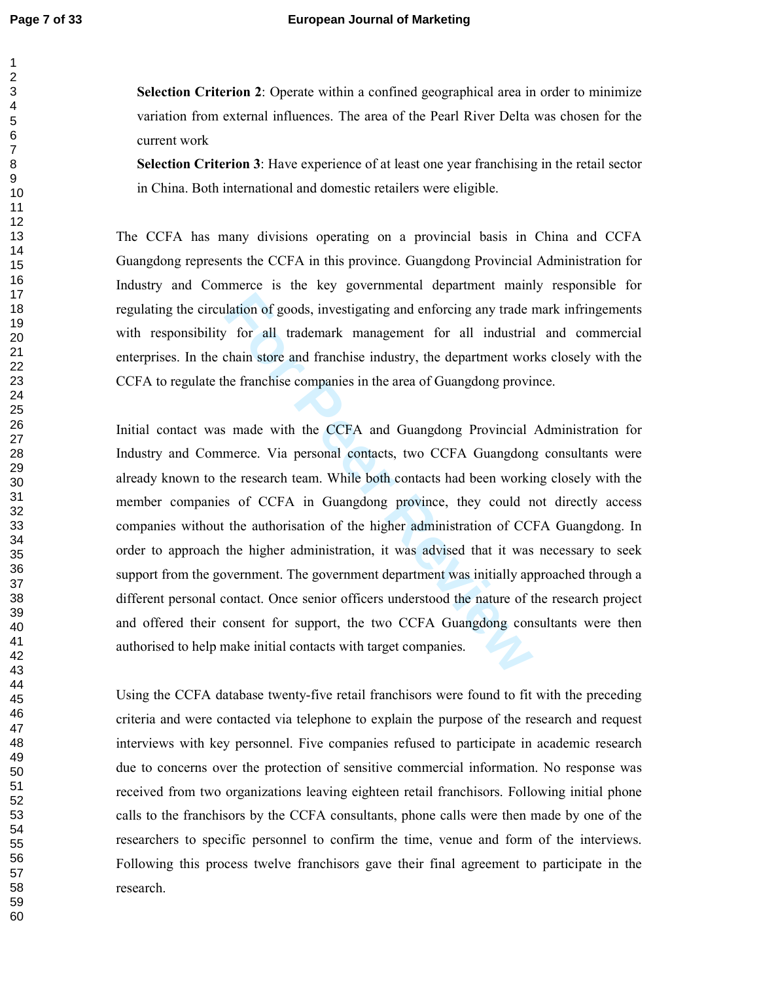**Selection Criterion 2**: Operate within a confined geographical area in order to minimize variation from external influences. The area of the Pearl River Delta was chosen for the current work

**Selection Criterion 3**: Have experience of at least one year franchising in the retail sector in China. Both international and domestic retailers were eligible.

The CCFA has many divisions operating on a provincial basis in China and CCFA Guangdong represents the CCFA in this province. Guangdong Provincial Administration for Industry and Commerce is the key governmental department mainly responsible for regulating the circulation of goods, investigating and enforcing any trade mark infringements with responsibility for all trademark management for all industrial and commercial enterprises. In the chain store and franchise industry, the department works closely with the CCFA to regulate the franchise companies in the area of Guangdong province.

alation of goods, investigating and enforcing any trade if the original trademark management for all industrial<br>thain store and franchise industry, the department worker franchise companies in the area of Guangdong provinc Initial contact was made with the CCFA and Guangdong Provincial Administration for Industry and Commerce. Via personal contacts, two CCFA Guangdong consultants were already known to the research team. While both contacts had been working closely with the member companies of CCFA in Guangdong province, they could not directly access companies without the authorisation of the higher administration of CCFA Guangdong. In order to approach the higher administration, it was advised that it was necessary to seek support from the government. The government department was initially approached through a different personal contact. Once senior officers understood the nature of the research project and offered their consent for support, the two CCFA Guangdong consultants were then authorised to help make initial contacts with target companies.

Using the CCFA database twenty-five retail franchisors were found to fit with the preceding criteria and were contacted via telephone to explain the purpose of the research and request interviews with key personnel. Five companies refused to participate in academic research due to concerns over the protection of sensitive commercial information. No response was received from two organizations leaving eighteen retail franchisors. Following initial phone calls to the franchisors by the CCFA consultants, phone calls were then made by one of the researchers to specific personnel to confirm the time, venue and form of the interviews. Following this process twelve franchisors gave their final agreement to participate in the research.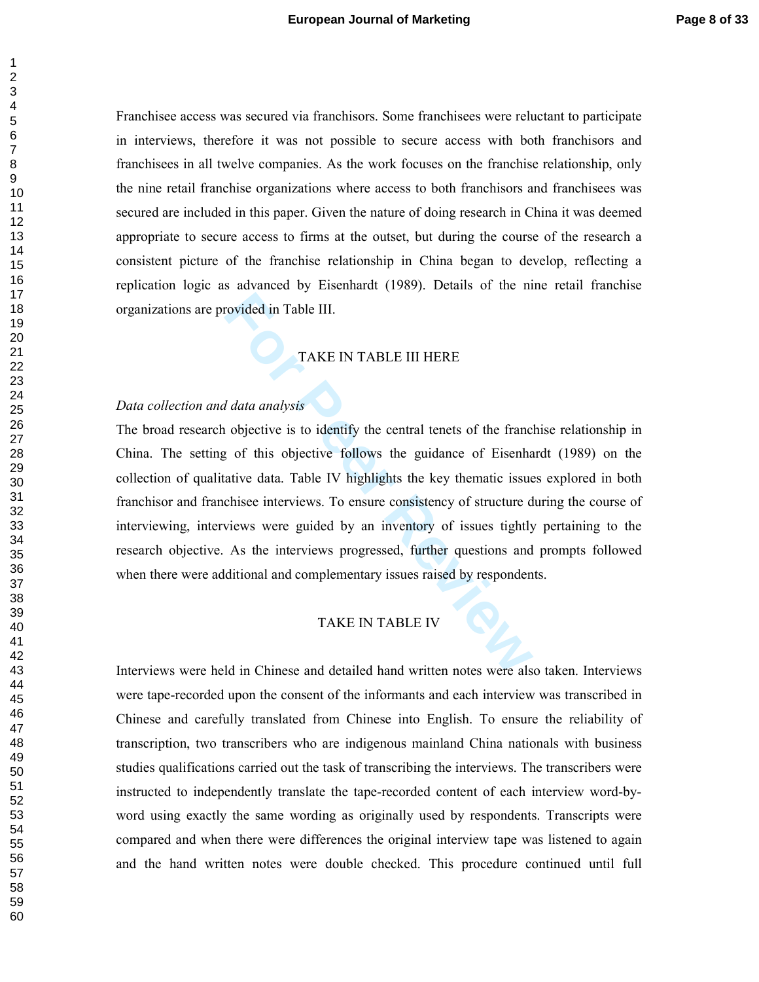Franchisee access was secured via franchisors. Some franchisees were reluctant to participate in interviews, therefore it was not possible to secure access with both franchisors and franchisees in all twelve companies. As the work focuses on the franchise relationship, only the nine retail franchise organizations where access to both franchisors and franchisees was secured are included in this paper. Given the nature of doing research in China it was deemed appropriate to secure access to firms at the outset, but during the course of the research a consistent picture of the franchise relationship in China began to develop, reflecting a replication logic as advanced by Eisenhardt (1989). Details of the nine retail franchise organizations are provided in Table III.

# TAKE IN TABLE III HERE

## *Data collection and data analysis*

FORM TABLE III HERE<br> **FAKE IN TABLE III HERE**<br> **FAKE IN TABLE III HERE**<br> *FAKE IN TABLE III HERE*<br> *Perrolative is to identify the central tenets of the france***<br>
<b>***performative data. Table IV highlights the key thermati* The broad research objective is to identify the central tenets of the franchise relationship in China. The setting of this objective follows the guidance of Eisenhardt (1989) on the collection of qualitative data. Table IV highlights the key thematic issues explored in both franchisor and franchisee interviews. To ensure consistency of structure during the course of interviewing, interviews were guided by an inventory of issues tightly pertaining to the research objective. As the interviews progressed, further questions and prompts followed when there were additional and complementary issues raised by respondents.

# TAKE IN TABLE IV

Interviews were held in Chinese and detailed hand written notes were also taken. Interviews were tape-recorded upon the consent of the informants and each interview was transcribed in Chinese and carefully translated from Chinese into English. To ensure the reliability of transcription, two transcribers who are indigenous mainland China nationals with business studies qualifications carried out the task of transcribing the interviews. The transcribers were instructed to independently translate the tape-recorded content of each interview word-byword using exactly the same wording as originally used by respondents. Transcripts were compared and when there were differences the original interview tape was listened to again and the hand written notes were double checked. This procedure continued until full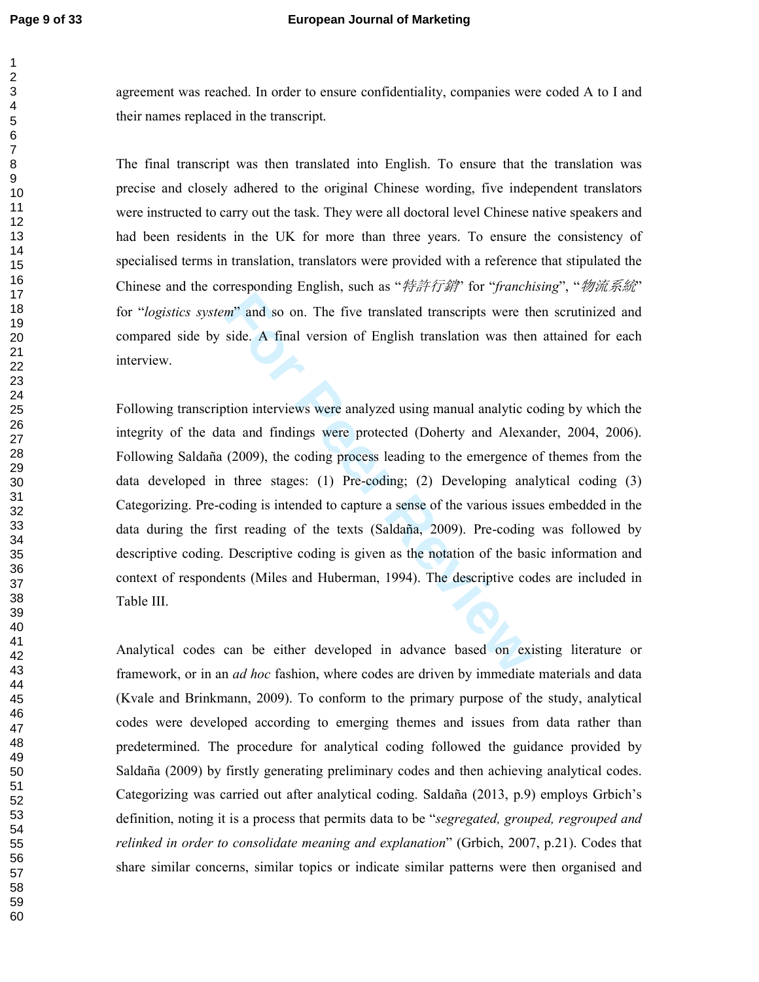agreement was reached. In order to ensure confidentiality, companies were coded A to I and their names replaced in the transcript.

The final transcript was then translated into English. To ensure that the translation was precise and closely adhered to the original Chinese wording, five independent translators were instructed to carry out the task. They were all doctoral level Chinese native speakers and had been residents in the UK for more than three years. To ensure the consistency of specialised terms in translation, translators were provided with a reference that stipulated the Chinese and the corresponding English, such as "特許行銷" for "*franchising*", "物流系統" for "*logistics system*" and so on. The five translated transcripts were then scrutinized and compared side by side. A final version of English translation was then attained for each interview.

**For Privary and So on.** The five translated transcripts were th<br>side. A final version of English translation was ther<br>than the side. A final version of English translation was ther<br>ta and findings were analyzed using manu Following transcription interviews were analyzed using manual analytic coding by which the integrity of the data and findings were protected (Doherty and Alexander, 2004, 2006). Following Saldaña (2009), the coding process leading to the emergence of themes from the data developed in three stages: (1) Pre-coding; (2) Developing analytical coding (3) Categorizing. Pre-coding is intended to capture a sense of the various issues embedded in the data during the first reading of the texts (Saldaña, 2009). Pre-coding was followed by descriptive coding. Descriptive coding is given as the notation of the basic information and context of respondents (Miles and Huberman, 1994). The descriptive codes are included in Table III.

Analytical codes can be either developed in advance based on existing literature or framework, or in an *ad hoc* fashion, where codes are driven by immediate materials and data (Kvale and Brinkmann, 2009). To conform to the primary purpose of the study, analytical codes were developed according to emerging themes and issues from data rather than predetermined. The procedure for analytical coding followed the guidance provided by Saldaña (2009) by firstly generating preliminary codes and then achieving analytical codes. Categorizing was carried out after analytical coding. Saldaña (2013, p.9) employs Grbich's definition, noting it is a process that permits data to be "*segregated, grouped, regrouped and relinked in order to consolidate meaning and explanation*" (Grbich, 2007, p.21). Codes that share similar concerns, similar topics or indicate similar patterns were then organised and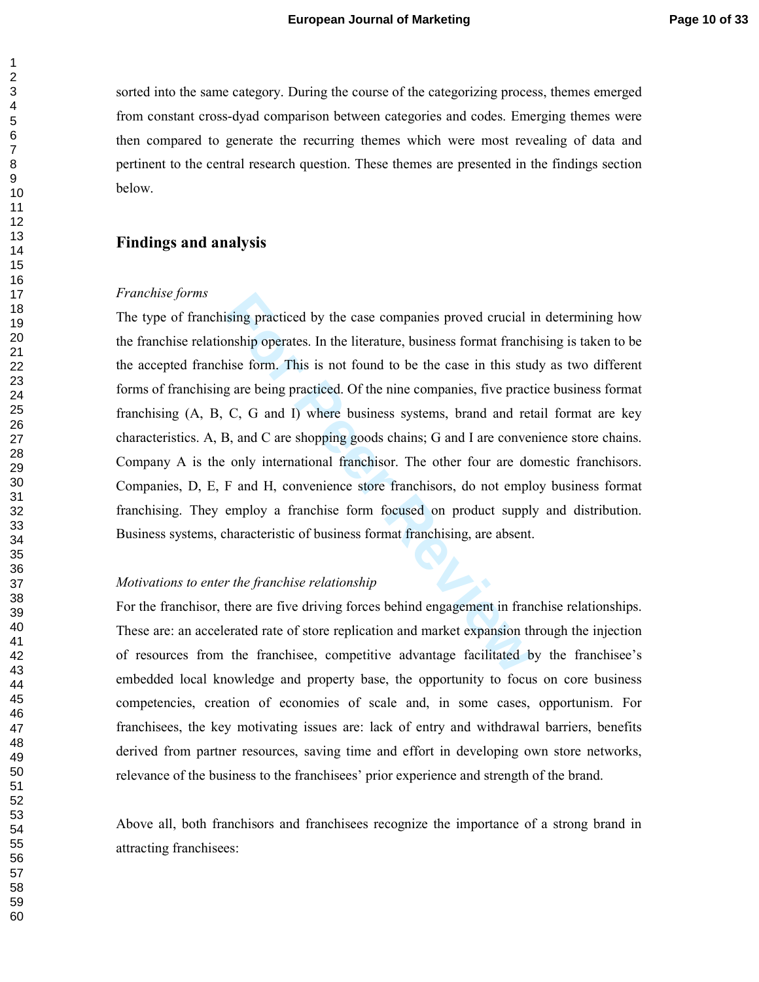sorted into the same category. During the course of the categorizing process, themes emerged from constant cross-dyad comparison between categories and codes. Emerging themes were then compared to generate the recurring themes which were most revealing of data and pertinent to the central research question. These themes are presented in the findings section below.

### **Findings and analysis**

## *Franchise forms*

ising practiced by the case companies proved crucial is<br>mship operates. In the literature, business format franch<br>ise form. This is not found to be the case in this stud<br>g are being practiced. Of the nine companies, five p The type of franchising practiced by the case companies proved crucial in determining how the franchise relationship operates. In the literature, business format franchising is taken to be the accepted franchise form. This is not found to be the case in this study as two different forms of franchising are being practiced. Of the nine companies, five practice business format franchising (A, B, C, G and I) where business systems, brand and retail format are key characteristics. A, B, and C are shopping goods chains; G and I are convenience store chains. Company A is the only international franchisor. The other four are domestic franchisors. Companies, D, E, F and H, convenience store franchisors, do not employ business format franchising. They employ a franchise form focused on product supply and distribution. Business systems, characteristic of business format franchising, are absent.

#### *Motivations to enter the franchise relationship*

For the franchisor, there are five driving forces behind engagement in franchise relationships. These are: an accelerated rate of store replication and market expansion through the injection of resources from the franchisee, competitive advantage facilitated by the franchisee's embedded local knowledge and property base, the opportunity to focus on core business competencies, creation of economies of scale and, in some cases, opportunism. For franchisees, the key motivating issues are: lack of entry and withdrawal barriers, benefits derived from partner resources, saving time and effort in developing own store networks, relevance of the business to the franchisees' prior experience and strength of the brand.

Above all, both franchisors and franchisees recognize the importance of a strong brand in attracting franchisees: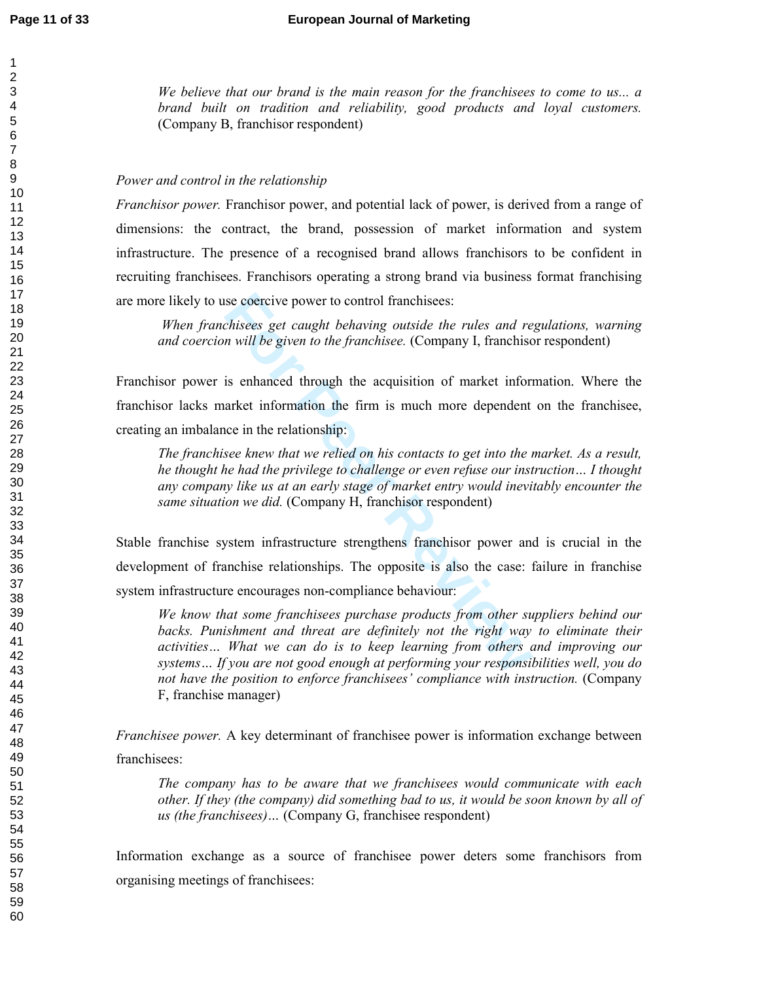*We believe that our brand is the main reason for the franchisees to come to us... a brand built on tradition and reliability, good products and loyal customers.* (Company B, franchisor respondent)

#### *Power and control in the relationship*

*Franchisor power.* Franchisor power, and potential lack of power, is derived from a range of dimensions: the contract, the brand, possession of market information and system infrastructure. The presence of a recognised brand allows franchisors to be confident in recruiting franchisees. Franchisors operating a strong brand via business format franchising are more likely to use coercive power to control franchisees:

*When franchisees get caught behaving outside the rules and regulations, warning and coercion will be given to the franchisee.* (Company I, franchisor respondent)

Franchisor power is enhanced through the acquisition of market information. Where the franchisor lacks market information the firm is much more dependent on the franchisee, creating an imbalance in the relationship:

*The franchisee knew that we relied on his contacts to get into the market. As a result, he thought he had the privilege to challenge or even refuse our instruction… I thought any company like us at an early stage of market entry would inevitably encounter the same situation we did.* (Company H, franchisor respondent)

Stable franchise system infrastructure strengthens franchisor power and is crucial in the development of franchise relationships. The opposite is also the case: failure in franchise system infrastructure encourages non-compliance behaviour:

**Example 18 Solution** Solution to control franchisees:<br>
Folisees get caught behaving outside the rules and re<br> *n* will be given to the franchisee. (Company I, franchise<br>
is enhanced through the acquisition of market infor *We know that some franchisees purchase products from other suppliers behind our backs. Punishment and threat are definitely not the right way to eliminate their activities… What we can do is to keep learning from others and improving our systems… If you are not good enough at performing your responsibilities well, you do not have the position to enforce franchisees' compliance with instruction.* (Company F, franchise manager)

*Franchisee power.* A key determinant of franchisee power is information exchange between franchisees:

*The company has to be aware that we franchisees would communicate with each other. If they (the company) did something bad to us, it would be soon known by all of us (the franchisees)…* (Company G, franchisee respondent)

Information exchange as a source of franchisee power deters some franchisors from organising meetings of franchisees: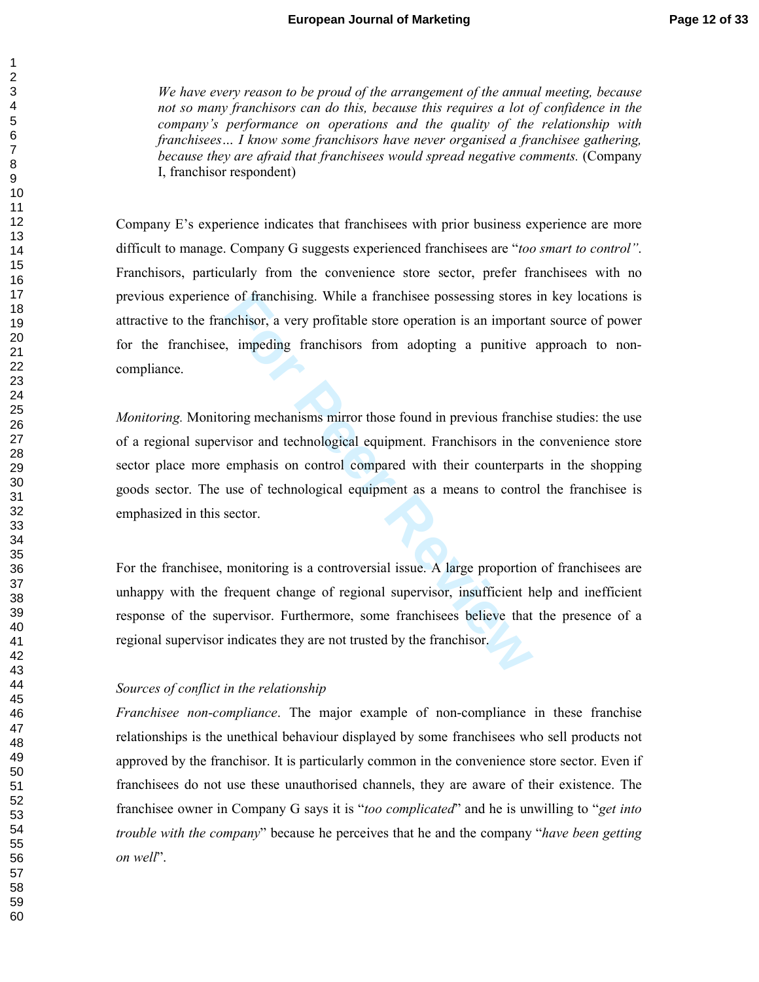*We have every reason to be proud of the arrangement of the annual meeting, because not so many franchisors can do this, because this requires a lot of confidence in the company's performance on operations and the quality of the relationship with franchisees… I know some franchisors have never organised a franchisee gathering, because they are afraid that franchisees would spread negative comments.* (Company I, franchisor respondent)

Company E's experience indicates that franchisees with prior business experience are more difficult to manage. Company G suggests experienced franchisees are "*too smart to control"*. Franchisors, particularly from the convenience store sector, prefer franchisees with no previous experience of franchising. While a franchisee possessing stores in key locations is attractive to the franchisor, a very profitable store operation is an important source of power for the franchisee, impeding franchisors from adopting a punitive approach to noncompliance.

For extendioning. While a franchisee possessing stores<br>
nchisor, a very profitable store operation is an importa<br>
For external in the emphasis mirror those found in previous franchisors<br>
primal mechanisms mirror those foun *Monitoring.* Monitoring mechanisms mirror those found in previous franchise studies: the use of a regional supervisor and technological equipment. Franchisors in the convenience store sector place more emphasis on control compared with their counterparts in the shopping goods sector. The use of technological equipment as a means to control the franchisee is emphasized in this sector.

For the franchisee, monitoring is a controversial issue. A large proportion of franchisees are unhappy with the frequent change of regional supervisor, insufficient help and inefficient response of the supervisor. Furthermore, some franchisees believe that the presence of a regional supervisor indicates they are not trusted by the franchisor.

## *Sources of conflict in the relationship*

*Franchisee non-compliance*. The major example of non-compliance in these franchise relationships is the unethical behaviour displayed by some franchisees who sell products not approved by the franchisor. It is particularly common in the convenience store sector. Even if franchisees do not use these unauthorised channels, they are aware of their existence. The franchisee owner in Company G says it is "*too complicated*" and he is unwilling to "*get into trouble with the company*" because he perceives that he and the company "*have been getting on well*".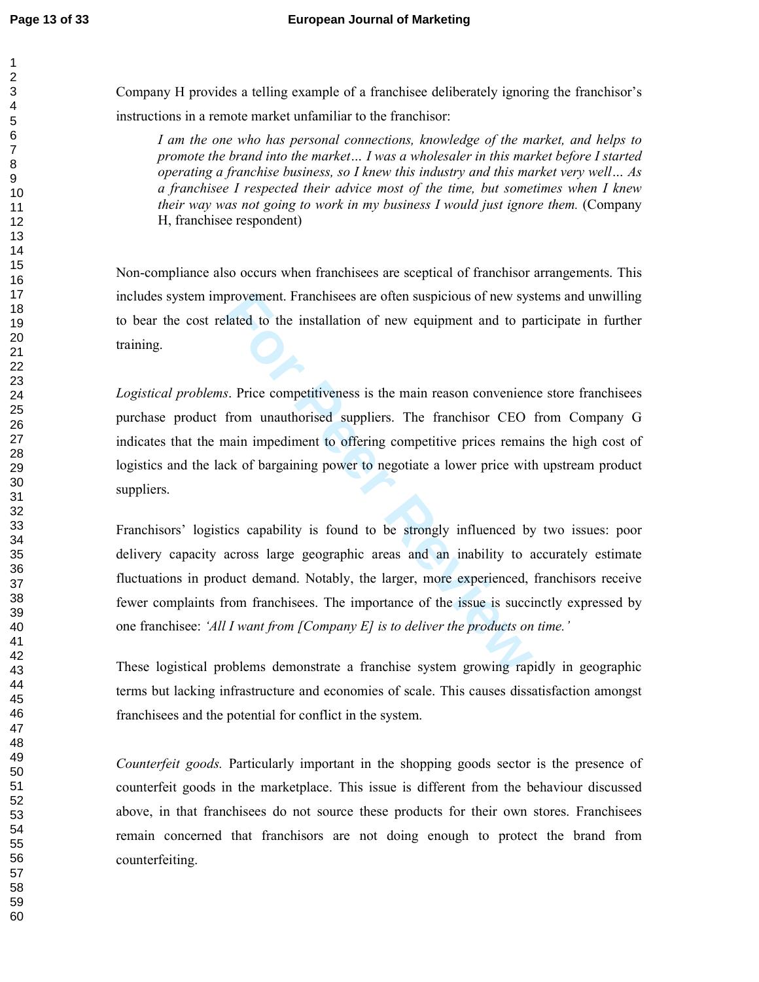Company H provides a telling example of a franchisee deliberately ignoring the franchisor's instructions in a remote market unfamiliar to the franchisor:

*I am the one who has personal connections, knowledge of the market, and helps to promote the brand into the market… I was a wholesaler in this market before I started operating a franchise business, so I knew this industry and this market very well… As a franchisee I respected their advice most of the time, but sometimes when I knew their way was not going to work in my business I would just ignore them.* (Company H, franchisee respondent)

Non-compliance also occurs when franchisees are sceptical of franchisor arrangements. This includes system improvement. Franchisees are often suspicious of new systems and unwilling to bear the cost related to the installation of new equipment and to participate in further training.

*Logistical problems*. Price competitiveness is the main reason convenience store franchisees purchase product from unauthorised suppliers. The franchisor CEO from Company G indicates that the main impediment to offering competitive prices remains the high cost of logistics and the lack of bargaining power to negotiate a lower price with upstream product suppliers.

provement. Franchisees are often suspicious of new sys-<br>lated to the installation of new equipment and to pa-<br>s. Price competitiveness is the main reason convenienc<br>from unauthorised suppliers. The franchisor CEO<br>nain impe Franchisors' logistics capability is found to be strongly influenced by two issues: poor delivery capacity across large geographic areas and an inability to accurately estimate fluctuations in product demand. Notably, the larger, more experienced, franchisors receive fewer complaints from franchisees. The importance of the issue is succinctly expressed by one franchisee: *'All I want from [Company E] is to deliver the products on time.'* 

These logistical problems demonstrate a franchise system growing rapidly in geographic terms but lacking infrastructure and economies of scale. This causes dissatisfaction amongst franchisees and the potential for conflict in the system.

*Counterfeit goods.* Particularly important in the shopping goods sector is the presence of counterfeit goods in the marketplace. This issue is different from the behaviour discussed above, in that franchisees do not source these products for their own stores. Franchisees remain concerned that franchisors are not doing enough to protect the brand from counterfeiting.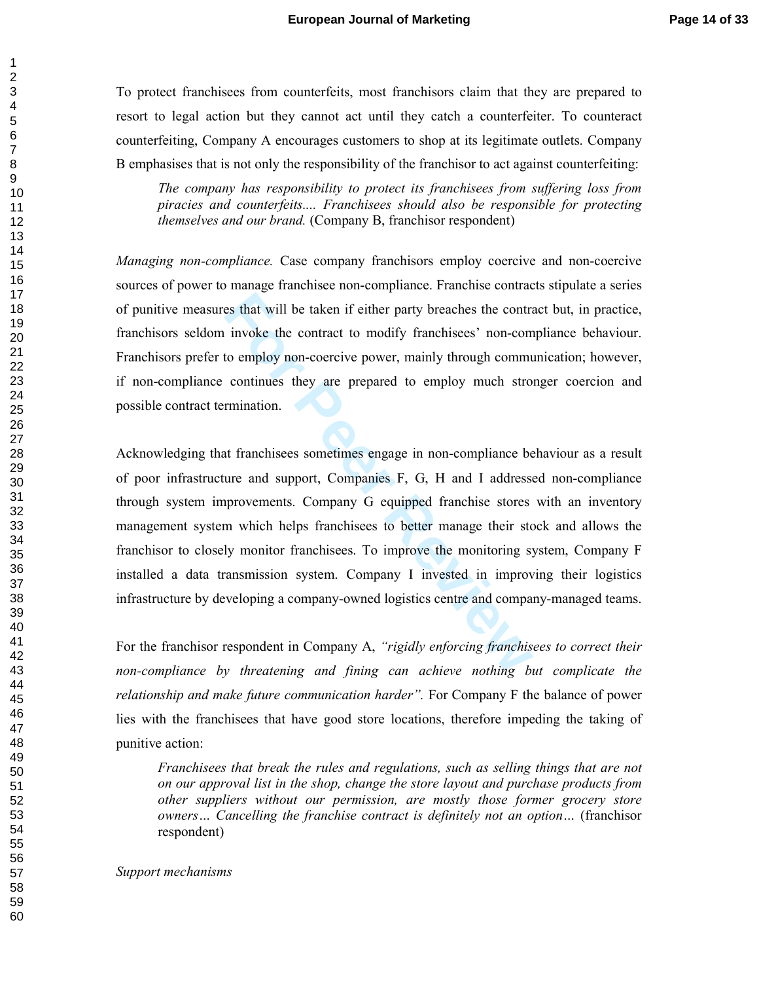To protect franchisees from counterfeits, most franchisors claim that they are prepared to resort to legal action but they cannot act until they catch a counterfeiter. To counteract counterfeiting, Company A encourages customers to shop at its legitimate outlets. Company B emphasises that is not only the responsibility of the franchisor to act against counterfeiting:

*The company has responsibility to protect its franchisees from suffering loss from piracies and counterfeits.... Franchisees should also be responsible for protecting themselves and our brand.* (Company B, franchisor respondent)

*Managing non-compliance.* Case company franchisors employ coercive and non-coercive sources of power to manage franchisee non-compliance. Franchise contracts stipulate a series of punitive measures that will be taken if either party breaches the contract but, in practice, franchisors seldom invoke the contract to modify franchisees' non-compliance behaviour. Franchisors prefer to employ non-coercive power, mainly through communication; however, if non-compliance continues they are prepared to employ much stronger coercion and possible contract termination.

es that will be taken if either party breaches the contrainvoke the contract to modify franchisees' non-compto to employ non-coercive power, mainly through community continues they are prepared to employ much stromantion.<br> Acknowledging that franchisees sometimes engage in non-compliance behaviour as a result of poor infrastructure and support, Companies F, G, H and I addressed non-compliance through system improvements. Company G equipped franchise stores with an inventory management system which helps franchisees to better manage their stock and allows the franchisor to closely monitor franchisees. To improve the monitoring system, Company F installed a data transmission system. Company I invested in improving their logistics infrastructure by developing a company-owned logistics centre and company-managed teams.

For the franchisor respondent in Company A, *"rigidly enforcing franchisees to correct their non-compliance by threatening and fining can achieve nothing but complicate the relationship and make future communication harder".* For Company F the balance of power lies with the franchisees that have good store locations, therefore impeding the taking of punitive action:

*Franchisees that break the rules and regulations, such as selling things that are not on our approval list in the shop, change the store layout and purchase products from other suppliers without our permission, are mostly those former grocery store owners… Cancelling the franchise contract is definitely not an option…* (franchisor respondent)

*Support mechanisms*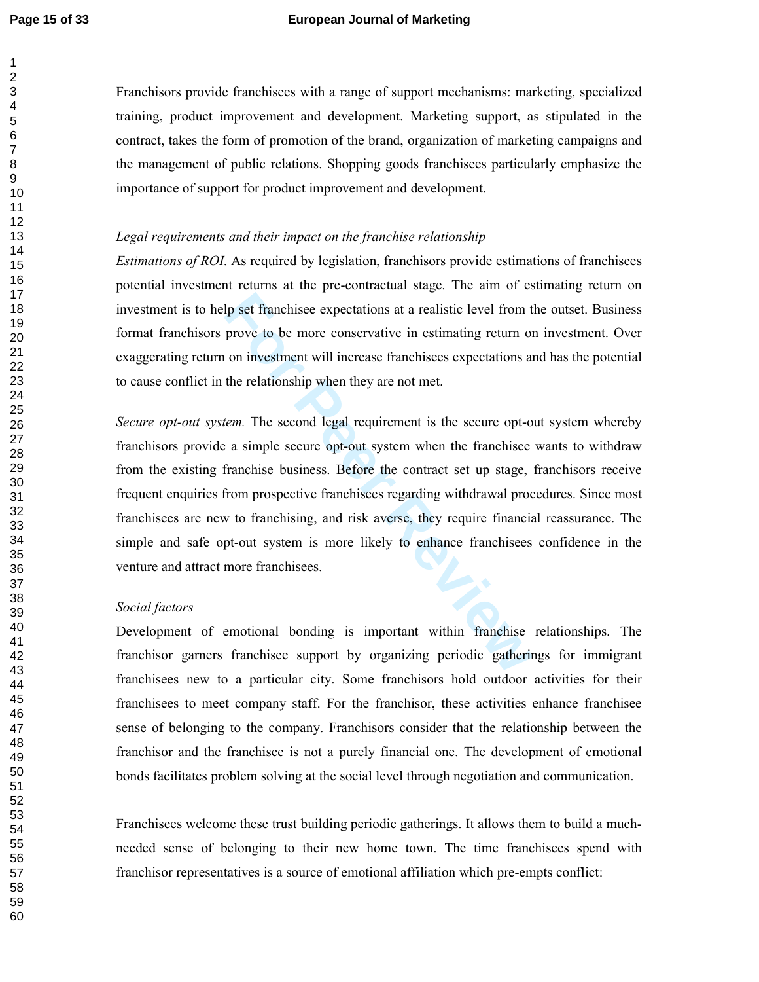### **Page 15 of 33 European Journal of Marketing**

Franchisors provide franchisees with a range of support mechanisms: marketing, specialized training, product improvement and development. Marketing support, as stipulated in the contract, takes the form of promotion of the brand, organization of marketing campaigns and the management of public relations. Shopping goods franchisees particularly emphasize the importance of support for product improvement and development.

### *Legal requirements and their impact on the franchise relationship*

*Estimations of ROI*. As required by legislation, franchisors provide estimations of franchisees potential investment returns at the pre-contractual stage. The aim of estimating return on investment is to help set franchisee expectations at a realistic level from the outset. Business format franchisors prove to be more conservative in estimating return on investment. Over exaggerating return on investment will increase franchisees expectations and has the potential to cause conflict in the relationship when they are not met.

Ip set franchisee expectations at a realistic level from t<br>prove to be more conservative in estimating return or<br>on investment will increase franchisees expectations at<br>the relationship when they are not met.<br>*tem*. The se *Secure opt-out system.* The second legal requirement is the secure opt-out system whereby franchisors provide a simple secure opt-out system when the franchisee wants to withdraw from the existing franchise business. Before the contract set up stage, franchisors receive frequent enquiries from prospective franchisees regarding withdrawal procedures. Since most franchisees are new to franchising, and risk averse, they require financial reassurance. The simple and safe opt-out system is more likely to enhance franchisees confidence in the venture and attract more franchisees.

## *Social factors*

Development of emotional bonding is important within franchise relationships. The franchisor garners franchisee support by organizing periodic gatherings for immigrant franchisees new to a particular city. Some franchisors hold outdoor activities for their franchisees to meet company staff. For the franchisor, these activities enhance franchisee sense of belonging to the company. Franchisors consider that the relationship between the franchisor and the franchisee is not a purely financial one. The development of emotional bonds facilitates problem solving at the social level through negotiation and communication.

Franchisees welcome these trust building periodic gatherings. It allows them to build a muchneeded sense of belonging to their new home town. The time franchisees spend with franchisor representatives is a source of emotional affiliation which pre-empts conflict: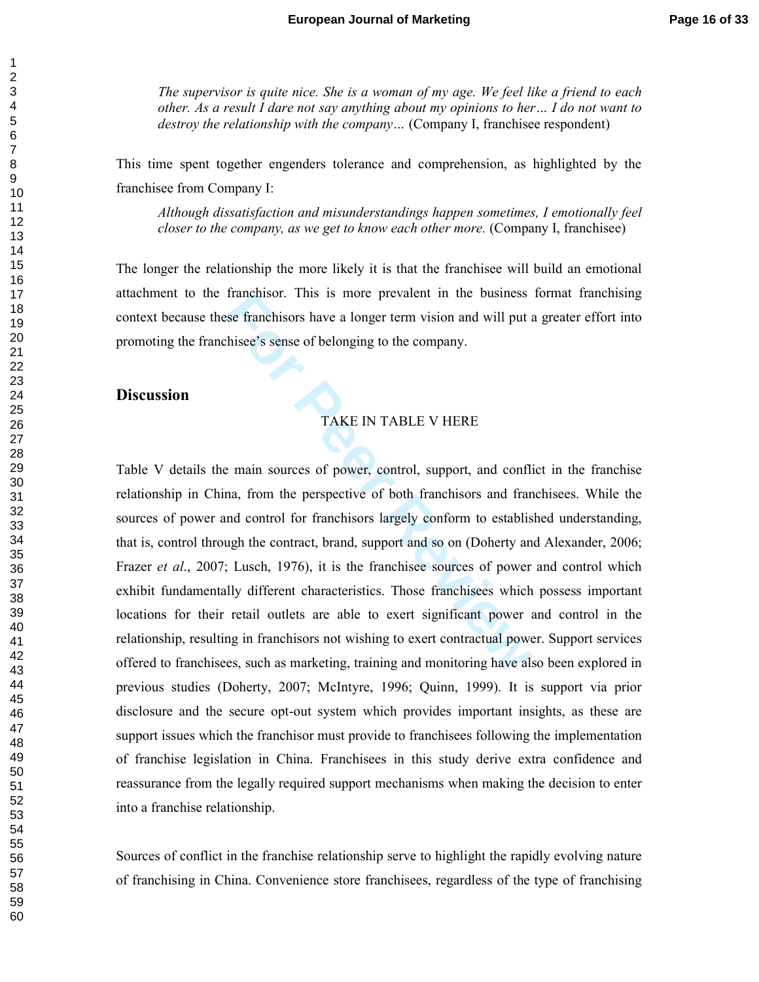*The supervisor is quite nice. She is a woman of my age. We feel like a friend to each other. As a result I dare not say anything about my opinions to her… I do not want to destroy the relationship with the company…* (Company I, franchisee respondent)

This time spent together engenders tolerance and comprehension, as highlighted by the franchisee from Company I:

*Although dissatisfaction and misunderstandings happen sometimes, I emotionally feel closer to the company, as we get to know each other more.* (Company I, franchisee)

The longer the relationship the more likely it is that the franchisee will build an emotional attachment to the franchisor. This is more prevalent in the business format franchising context because these franchisors have a longer term vision and will put a greater effort into promoting the franchisee's sense of belonging to the company.

## **Discussion**

#### TAKE IN TABLE V HERE

Franchisor. This is more prevatent in the business<br>
See franchisors have a longer term vision and will put a<br>
chisee's sense of belonging to the company.<br> **TAKE IN TABLE V HERE**<br>
Per main sources of power, control, support Table V details the main sources of power, control, support, and conflict in the franchise relationship in China, from the perspective of both franchisors and franchisees. While the sources of power and control for franchisors largely conform to established understanding, that is, control through the contract, brand, support and so on (Doherty and Alexander, 2006; Frazer *et al.*, 2007; Lusch, 1976), it is the franchisee sources of power and control which exhibit fundamentally different characteristics. Those franchisees which possess important locations for their retail outlets are able to exert significant power and control in the relationship, resulting in franchisors not wishing to exert contractual power. Support services offered to franchisees, such as marketing, training and monitoring have also been explored in previous studies (Doherty, 2007; McIntyre, 1996; Quinn, 1999). It is support via prior disclosure and the secure opt-out system which provides important insights, as these are support issues which the franchisor must provide to franchisees following the implementation of franchise legislation in China. Franchisees in this study derive extra confidence and reassurance from the legally required support mechanisms when making the decision to enter into a franchise relationship.

Sources of conflict in the franchise relationship serve to highlight the rapidly evolving nature of franchising in China. Convenience store franchisees, regardless of the type of franchising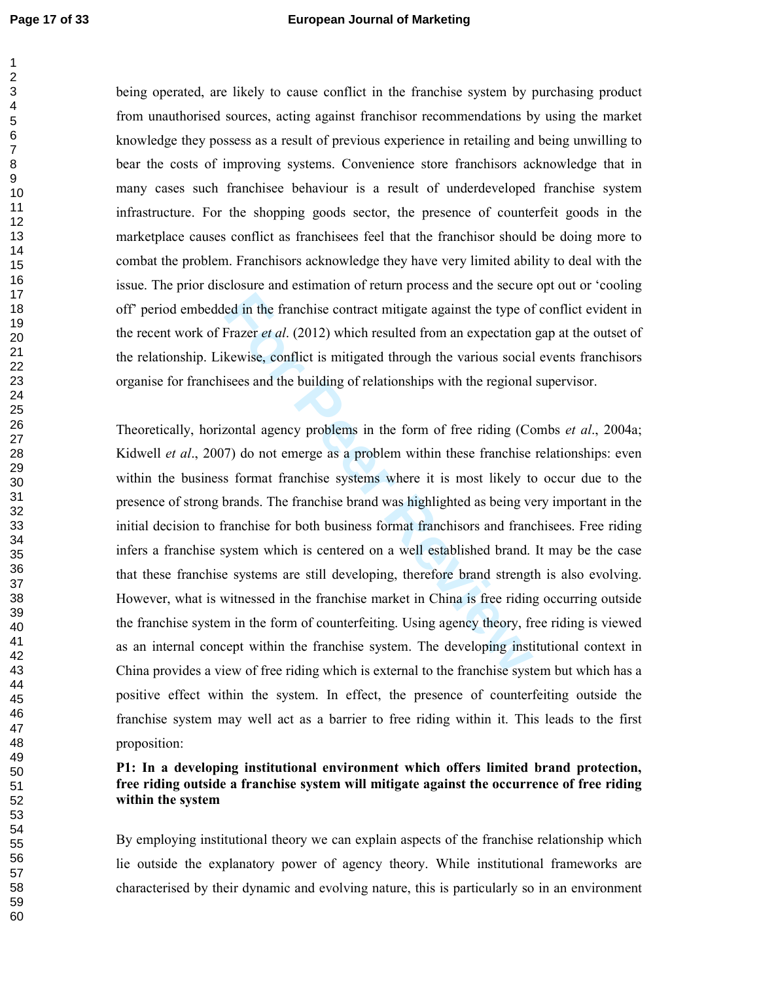$\mathbf{1}$  $\overline{2}$ 

#### **Page 17 of 33 European Journal of Marketing**

being operated, are likely to cause conflict in the franchise system by purchasing product from unauthorised sources, acting against franchisor recommendations by using the market knowledge they possess as a result of previous experience in retailing and being unwilling to bear the costs of improving systems. Convenience store franchisors acknowledge that in many cases such franchisee behaviour is a result of underdeveloped franchise system infrastructure. For the shopping goods sector, the presence of counterfeit goods in the marketplace causes conflict as franchisees feel that the franchisor should be doing more to combat the problem. Franchisors acknowledge they have very limited ability to deal with the issue. The prior disclosure and estimation of return process and the secure opt out or 'cooling off' period embedded in the franchise contract mitigate against the type of conflict evident in the recent work of Frazer *et al*. (2012) which resulted from an expectation gap at the outset of the relationship. Likewise, conflict is mitigated through the various social events franchisors organise for franchisees and the building of relationships with the regional supervisor.

ed in the franchise contract mitigate against the type of<br>Frazer *et al.* (2012) which resulted from an expectation<br>kewise, conflict is mitigated through the various social<br>sieses and the building of relationships with the Theoretically, horizontal agency problems in the form of free riding (Combs *et al*., 2004a; Kidwell *et al*., 2007) do not emerge as a problem within these franchise relationships: even within the business format franchise systems where it is most likely to occur due to the presence of strong brands. The franchise brand was highlighted as being very important in the initial decision to franchise for both business format franchisors and franchisees. Free riding infers a franchise system which is centered on a well established brand. It may be the case that these franchise systems are still developing, therefore brand strength is also evolving. However, what is witnessed in the franchise market in China is free riding occurring outside the franchise system in the form of counterfeiting. Using agency theory, free riding is viewed as an internal concept within the franchise system. The developing institutional context in China provides a view of free riding which is external to the franchise system but which has a positive effect within the system. In effect, the presence of counterfeiting outside the franchise system may well act as a barrier to free riding within it. This leads to the first proposition:

## **P1: In a developing institutional environment which offers limited brand protection, free riding outside a franchise system will mitigate against the occurrence of free riding within the system**

By employing institutional theory we can explain aspects of the franchise relationship which lie outside the explanatory power of agency theory. While institutional frameworks are characterised by their dynamic and evolving nature, this is particularly so in an environment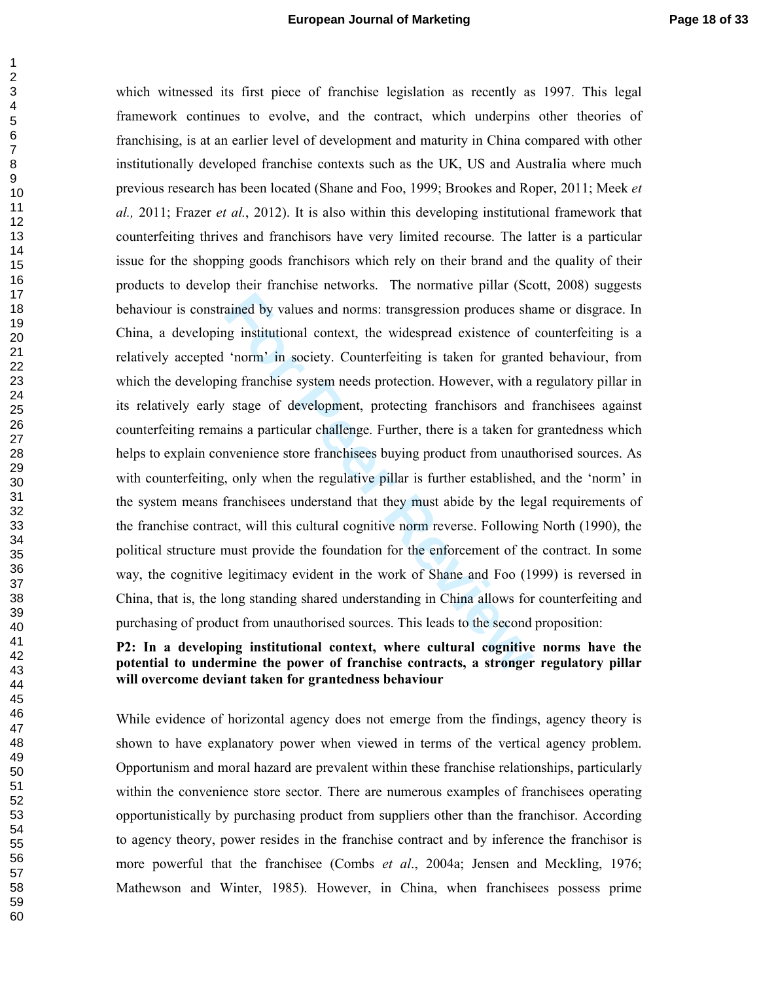#### **European Journal of Marketing <b>Page 18 of 33** Page 18 of 33

ained by values and norms: transgression produces shappoonened by values and norms: transgression produces shappoonened existence of 'norm' in society. Counterfeiting is taken for granteng franchise system needs protection which witnessed its first piece of franchise legislation as recently as 1997. This legal framework continues to evolve, and the contract, which underpins other theories of franchising, is at an earlier level of development and maturity in China compared with other institutionally developed franchise contexts such as the UK, US and Australia where much previous research has been located (Shane and Foo, 1999; Brookes and Roper, 2011; Meek *et al.,* 2011; Frazer *et al.*, 2012). It is also within this developing institutional framework that counterfeiting thrives and franchisors have very limited recourse. The latter is a particular issue for the shopping goods franchisors which rely on their brand and the quality of their products to develop their franchise networks. The normative pillar (Scott, 2008) suggests behaviour is constrained by values and norms: transgression produces shame or disgrace. In China, a developing institutional context, the widespread existence of counterfeiting is a relatively accepted 'norm' in society. Counterfeiting is taken for granted behaviour, from which the developing franchise system needs protection. However, with a regulatory pillar in its relatively early stage of development, protecting franchisors and franchisees against counterfeiting remains a particular challenge. Further, there is a taken for grantedness which helps to explain convenience store franchisees buying product from unauthorised sources. As with counterfeiting, only when the regulative pillar is further established, and the 'norm' in the system means franchisees understand that they must abide by the legal requirements of the franchise contract, will this cultural cognitive norm reverse. Following North (1990), the political structure must provide the foundation for the enforcement of the contract. In some way, the cognitive legitimacy evident in the work of Shane and Foo (1999) is reversed in China, that is, the long standing shared understanding in China allows for counterfeiting and purchasing of product from unauthorised sources. This leads to the second proposition:

## **P2: In a developing institutional context, where cultural cognitive norms have the potential to undermine the power of franchise contracts, a stronger regulatory pillar will overcome deviant taken for grantedness behaviour**

While evidence of horizontal agency does not emerge from the findings, agency theory is shown to have explanatory power when viewed in terms of the vertical agency problem. Opportunism and moral hazard are prevalent within these franchise relationships, particularly within the convenience store sector. There are numerous examples of franchisees operating opportunistically by purchasing product from suppliers other than the franchisor. According to agency theory, power resides in the franchise contract and by inference the franchisor is more powerful that the franchisee (Combs *et al*., 2004a; Jensen and Meckling, 1976; Mathewson and Winter, 1985). However, in China, when franchisees possess prime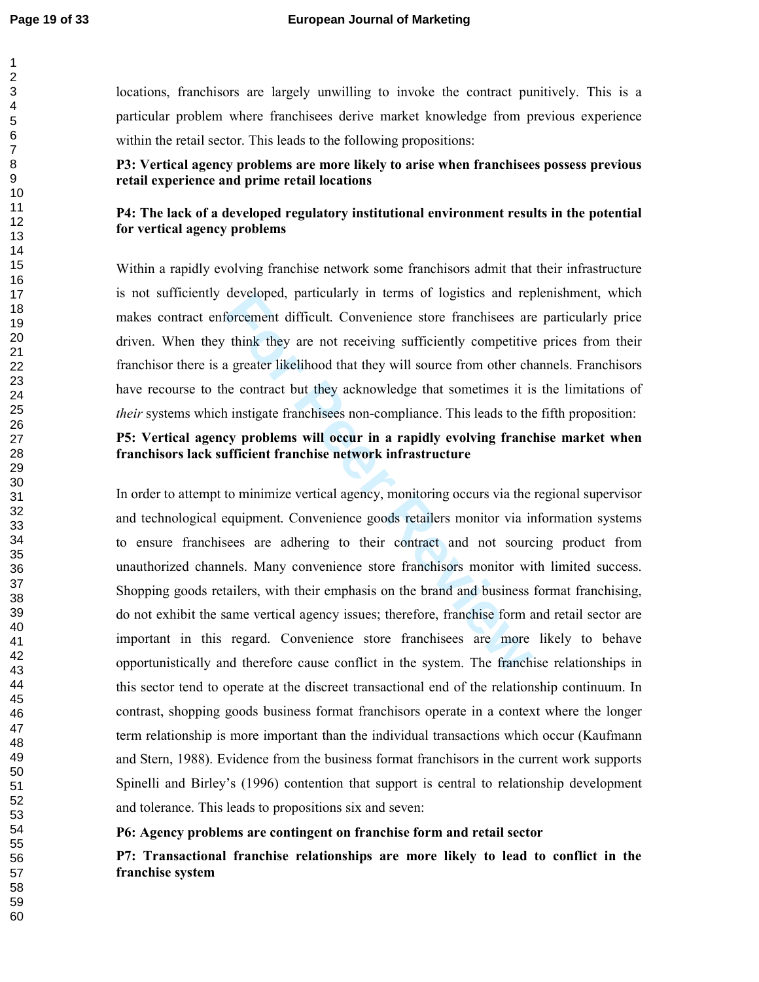locations, franchisors are largely unwilling to invoke the contract punitively. This is a particular problem where franchisees derive market knowledge from previous experience within the retail sector. This leads to the following propositions:

## **P3: Vertical agency problems are more likely to arise when franchisees possess previous retail experience and prime retail locations**

## **P4: The lack of a developed regulatory institutional environment results in the potential for vertical agency problems**

Within a rapidly evolving franchise network some franchisors admit that their infrastructure is not sufficiently developed, particularly in terms of logistics and replenishment, which makes contract enforcement difficult. Convenience store franchisees are particularly price driven. When they think they are not receiving sufficiently competitive prices from their franchisor there is a greater likelihood that they will source from other channels. Franchisors have recourse to the contract but they acknowledge that sometimes it is the limitations of *their* systems which instigate franchisees non-compliance. This leads to the fifth proposition:

## **P5: Vertical agency problems will occur in a rapidly evolving franchise market when franchisors lack sufficient franchise network infrastructure**

developed, particularly in terms of logistics and represented difficult. Convenience store franchisees are think they are not receiving sufficiently competitive a greater likelihood that they will source from other che con In order to attempt to minimize vertical agency, monitoring occurs via the regional supervisor and technological equipment. Convenience goods retailers monitor via information systems to ensure franchisees are adhering to their contract and not sourcing product from unauthorized channels. Many convenience store franchisors monitor with limited success. Shopping goods retailers, with their emphasis on the brand and business format franchising, do not exhibit the same vertical agency issues; therefore, franchise form and retail sector are important in this regard. Convenience store franchisees are more likely to behave opportunistically and therefore cause conflict in the system. The franchise relationships in this sector tend to operate at the discreet transactional end of the relationship continuum. In contrast, shopping goods business format franchisors operate in a context where the longer term relationship is more important than the individual transactions which occur (Kaufmann and Stern, 1988). Evidence from the business format franchisors in the current work supports Spinelli and Birley's (1996) contention that support is central to relationship development and tolerance. This leads to propositions six and seven:

## **P6: Agency problems are contingent on franchise form and retail sector**

**P7: Transactional franchise relationships are more likely to lead to conflict in the franchise system**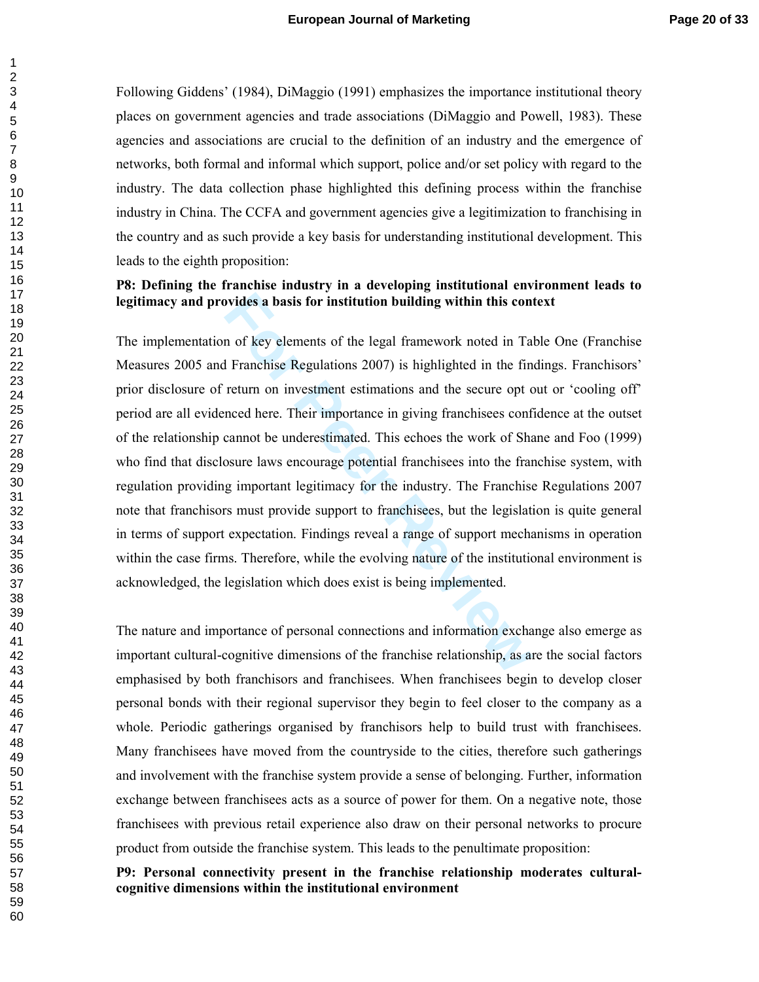Following Giddens' (1984), DiMaggio (1991) emphasizes the importance institutional theory places on government agencies and trade associations (DiMaggio and Powell, 1983). These agencies and associations are crucial to the definition of an industry and the emergence of networks, both formal and informal which support, police and/or set policy with regard to the industry. The data collection phase highlighted this defining process within the franchise industry in China. The CCFA and government agencies give a legitimization to franchising in the country and as such provide a key basis for understanding institutional development. This leads to the eighth proposition:

## **P8: Defining the franchise industry in a developing institutional environment leads to legitimacy and provides a basis for institution building within this context**

**Formal Solution Solution Solution Solution Solution Solution Solution Solution Solution Solution Solution Solution Solution Separation Separation Separation Section Ta 1 Franchise Regulations 2007) is highlighted in the f** The implementation of key elements of the legal framework noted in Table One (Franchise Measures 2005 and Franchise Regulations 2007) is highlighted in the findings. Franchisors' prior disclosure of return on investment estimations and the secure opt out or 'cooling off' period are all evidenced here. Their importance in giving franchisees confidence at the outset of the relationship cannot be underestimated. This echoes the work of Shane and Foo (1999) who find that disclosure laws encourage potential franchisees into the franchise system, with regulation providing important legitimacy for the industry. The Franchise Regulations 2007 note that franchisors must provide support to franchisees, but the legislation is quite general in terms of support expectation. Findings reveal a range of support mechanisms in operation within the case firms. Therefore, while the evolving nature of the institutional environment is acknowledged, the legislation which does exist is being implemented.

The nature and importance of personal connections and information exchange also emerge as important cultural-cognitive dimensions of the franchise relationship, as are the social factors emphasised by both franchisors and franchisees. When franchisees begin to develop closer personal bonds with their regional supervisor they begin to feel closer to the company as a whole. Periodic gatherings organised by franchisors help to build trust with franchisees. Many franchisees have moved from the countryside to the cities, therefore such gatherings and involvement with the franchise system provide a sense of belonging. Further, information exchange between franchisees acts as a source of power for them. On a negative note, those franchisees with previous retail experience also draw on their personal networks to procure product from outside the franchise system. This leads to the penultimate proposition:

**P9: Personal connectivity present in the franchise relationship moderates culturalcognitive dimensions within the institutional environment**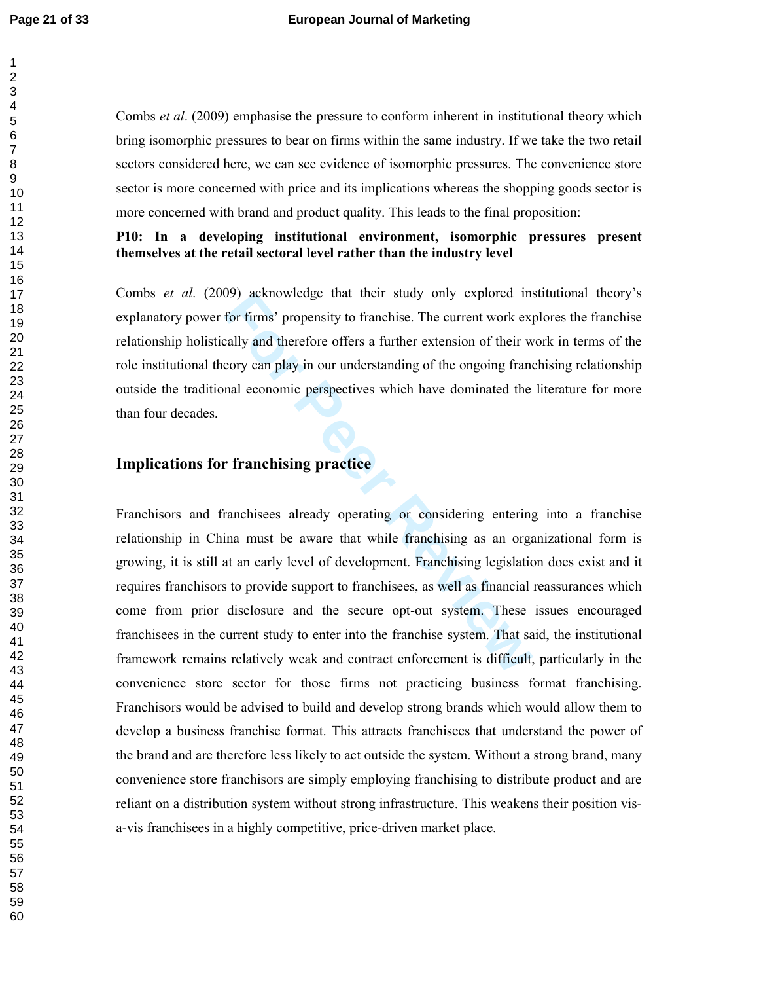Combs *et al*. (2009) emphasise the pressure to conform inherent in institutional theory which bring isomorphic pressures to bear on firms within the same industry. If we take the two retail sectors considered here, we can see evidence of isomorphic pressures. The convenience store sector is more concerned with price and its implications whereas the shopping goods sector is more concerned with brand and product quality. This leads to the final proposition:

## **P10: In a developing institutional environment, isomorphic pressures present themselves at the retail sectoral level rather than the industry level**

Combs *et al*. (2009) acknowledge that their study only explored institutional theory's explanatory power for firms' propensity to franchise. The current work explores the franchise relationship holistically and therefore offers a further extension of their work in terms of the role institutional theory can play in our understanding of the ongoing franchising relationship outside the traditional economic perspectives which have dominated the literature for more than four decades.

# **Implications for franchising practice**

For firms' propensity to franchise. The current work explains<br>for firms' propensity to franchise. The current work expally and therefore offers a further extension of their weory can play in our understanding of the ongoin Franchisors and franchisees already operating or considering entering into a franchise relationship in China must be aware that while franchising as an organizational form is growing, it is still at an early level of development. Franchising legislation does exist and it requires franchisors to provide support to franchisees, as well as financial reassurances which come from prior disclosure and the secure opt-out system. These issues encouraged franchisees in the current study to enter into the franchise system. That said, the institutional framework remains relatively weak and contract enforcement is difficult, particularly in the convenience store sector for those firms not practicing business format franchising. Franchisors would be advised to build and develop strong brands which would allow them to develop a business franchise format. This attracts franchisees that understand the power of the brand and are therefore less likely to act outside the system. Without a strong brand, many convenience store franchisors are simply employing franchising to distribute product and are reliant on a distribution system without strong infrastructure. This weakens their position visa-vis franchisees in a highly competitive, price-driven market place.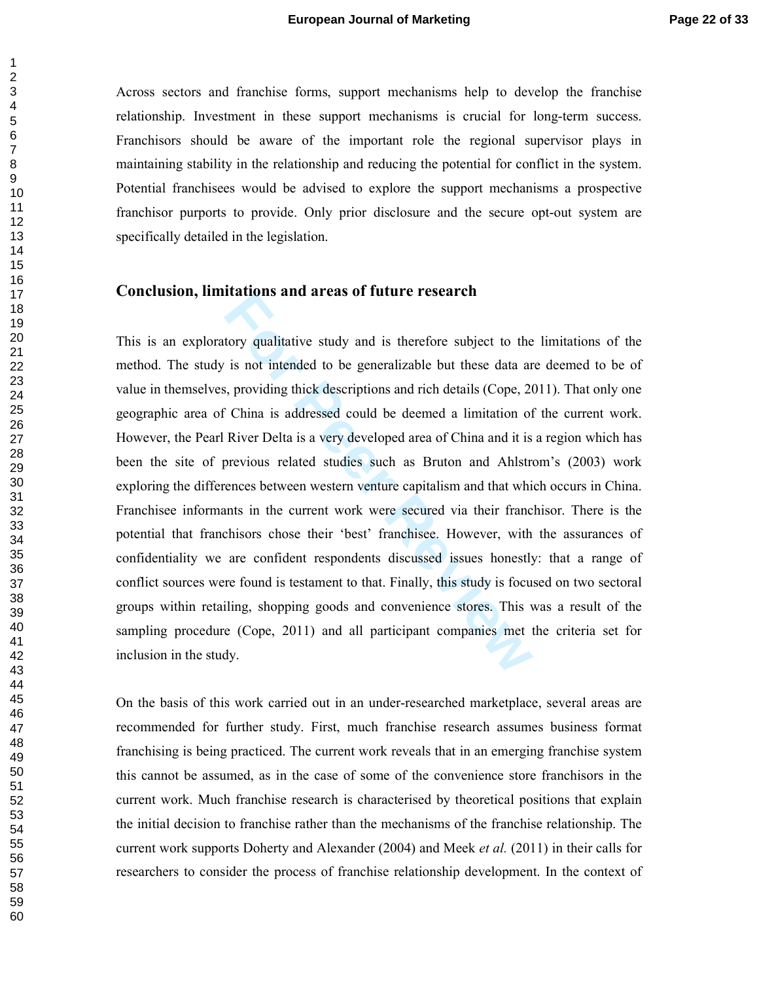Across sectors and franchise forms, support mechanisms help to develop the franchise relationship. Investment in these support mechanisms is crucial for long-term success. Franchisors should be aware of the important role the regional supervisor plays in maintaining stability in the relationship and reducing the potential for conflict in the system. Potential franchisees would be advised to explore the support mechanisms a prospective franchisor purports to provide. Only prior disclosure and the secure opt-out system are specifically detailed in the legislation.

# **Conclusion, limitations and areas of future research**

**Fractions and areas of future research**<br>
for tory qualitative study and is therefore subject to the<br>
is not intended to be generalizable but these data ar<br> *F*, providing thick descriptions and rich details (Cope, 20<br> *F* This is an exploratory qualitative study and is therefore subject to the limitations of the method. The study is not intended to be generalizable but these data are deemed to be of value in themselves, providing thick descriptions and rich details (Cope, 2011). That only one geographic area of China is addressed could be deemed a limitation of the current work. However, the Pearl River Delta is a very developed area of China and it is a region which has been the site of previous related studies such as Bruton and Ahlstrom's (2003) work exploring the differences between western venture capitalism and that which occurs in China. Franchisee informants in the current work were secured via their franchisor. There is the potential that franchisors chose their 'best' franchisee. However, with the assurances of confidentiality we are confident respondents discussed issues honestly: that a range of conflict sources were found is testament to that. Finally, this study is focused on two sectoral groups within retailing, shopping goods and convenience stores. This was a result of the sampling procedure (Cope, 2011) and all participant companies met the criteria set for inclusion in the study.

On the basis of this work carried out in an under-researched marketplace, several areas are recommended for further study. First, much franchise research assumes business format franchising is being practiced. The current work reveals that in an emerging franchise system this cannot be assumed, as in the case of some of the convenience store franchisors in the current work. Much franchise research is characterised by theoretical positions that explain the initial decision to franchise rather than the mechanisms of the franchise relationship. The current work supports Doherty and Alexander (2004) and Meek *et al.* (2011) in their calls for researchers to consider the process of franchise relationship development. In the context of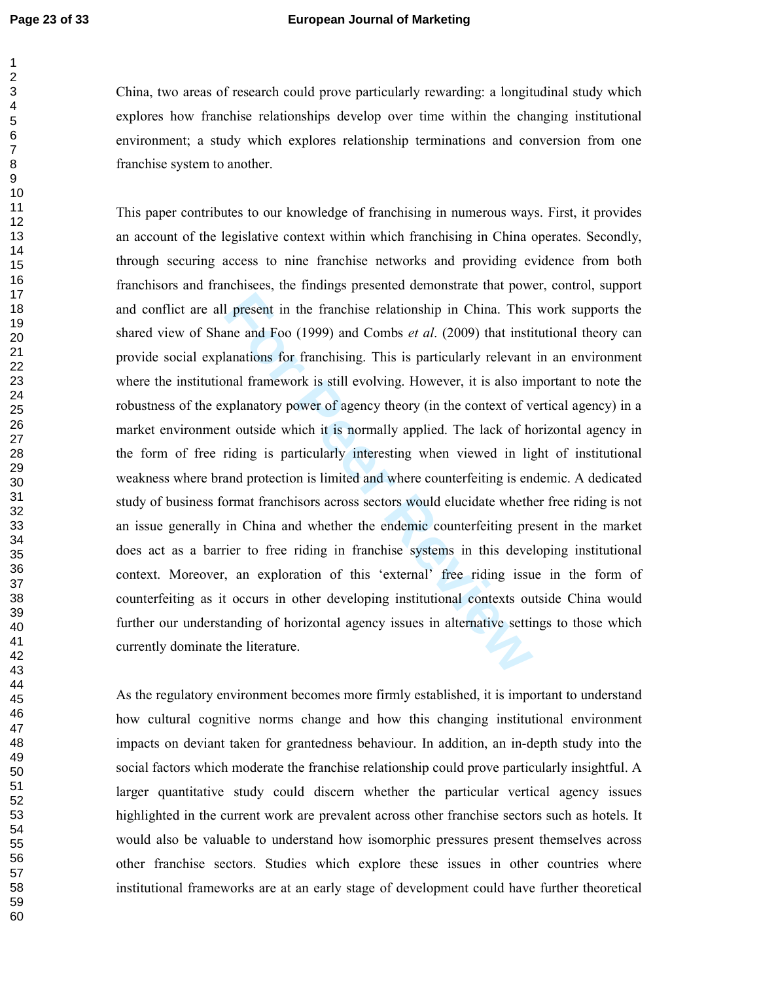$\mathbf{1}$  $\overline{2}$ 

#### **Page 23 of 33 European Journal of Marketing**

China, two areas of research could prove particularly rewarding: a longitudinal study which explores how franchise relationships develop over time within the changing institutional environment; a study which explores relationship terminations and conversion from one franchise system to another.

I present in the franchise relationship in China. This<br>time and Foo (1999) and Combs *et al.* (2009) that instituted<br>anations for franchising. This is particularly relevant<br>mal framework is still evolving. However, it is a This paper contributes to our knowledge of franchising in numerous ways. First, it provides an account of the legislative context within which franchising in China operates. Secondly, through securing access to nine franchise networks and providing evidence from both franchisors and franchisees, the findings presented demonstrate that power, control, support and conflict are all present in the franchise relationship in China. This work supports the shared view of Shane and Foo (1999) and Combs *et al*. (2009) that institutional theory can provide social explanations for franchising. This is particularly relevant in an environment where the institutional framework is still evolving. However, it is also important to note the robustness of the explanatory power of agency theory (in the context of vertical agency) in a market environment outside which it is normally applied. The lack of horizontal agency in the form of free riding is particularly interesting when viewed in light of institutional weakness where brand protection is limited and where counterfeiting is endemic. A dedicated study of business format franchisors across sectors would elucidate whether free riding is not an issue generally in China and whether the endemic counterfeiting present in the market does act as a barrier to free riding in franchise systems in this developing institutional context. Moreover, an exploration of this 'external' free riding issue in the form of counterfeiting as it occurs in other developing institutional contexts outside China would further our understanding of horizontal agency issues in alternative settings to those which currently dominate the literature.

As the regulatory environment becomes more firmly established, it is important to understand how cultural cognitive norms change and how this changing institutional environment impacts on deviant taken for grantedness behaviour. In addition, an in-depth study into the social factors which moderate the franchise relationship could prove particularly insightful. A larger quantitative study could discern whether the particular vertical agency issues highlighted in the current work are prevalent across other franchise sectors such as hotels. It would also be valuable to understand how isomorphic pressures present themselves across other franchise sectors. Studies which explore these issues in other countries where institutional frameworks are at an early stage of development could have further theoretical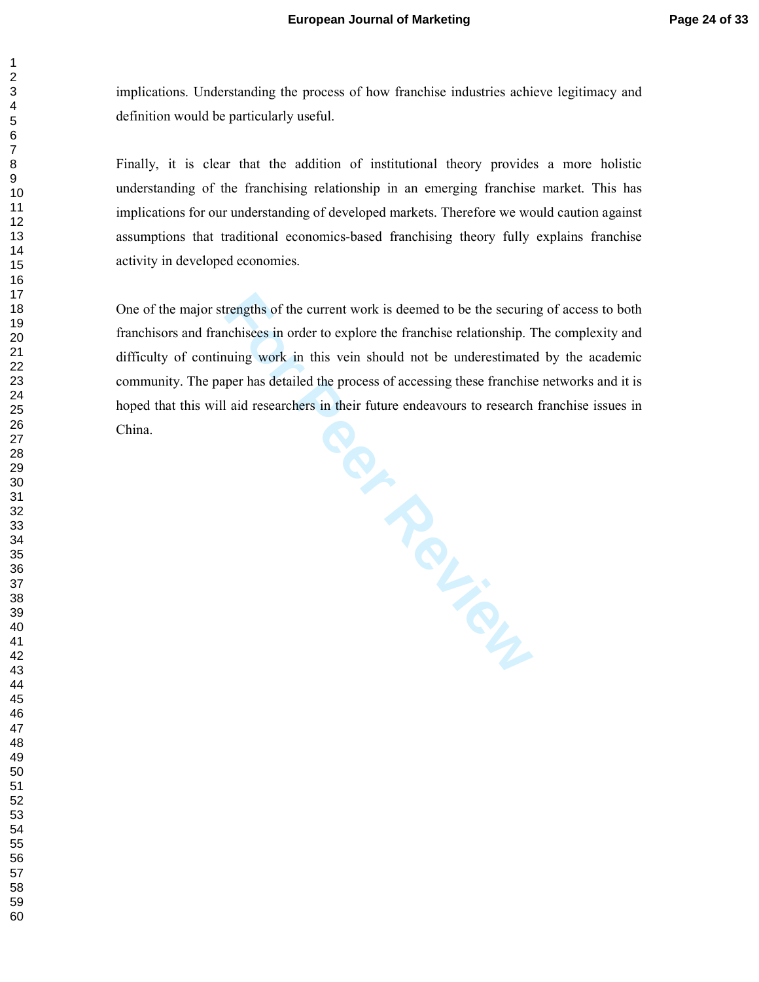implications. Understanding the process of how franchise industries achieve legitimacy and definition would be particularly useful.

Finally, it is clear that the addition of institutional theory provides a more holistic understanding of the franchising relationship in an emerging franchise market. This has implications for our understanding of developed markets. Therefore we would caution against assumptions that traditional economics-based franchising theory fully explains franchise activity in developed economies.

One of the major strengths of the current work is deemed to be the securing of access to both franchisors and franchisees in order to explore the franchise relationship. The complexity and difficulty of continuing work in this vein should not be underestimated by the academic community. The paper has detailed the process of accessing these franchise networks and it is hoped that this will aid researchers in their future endeavours to research franchise issues in China.

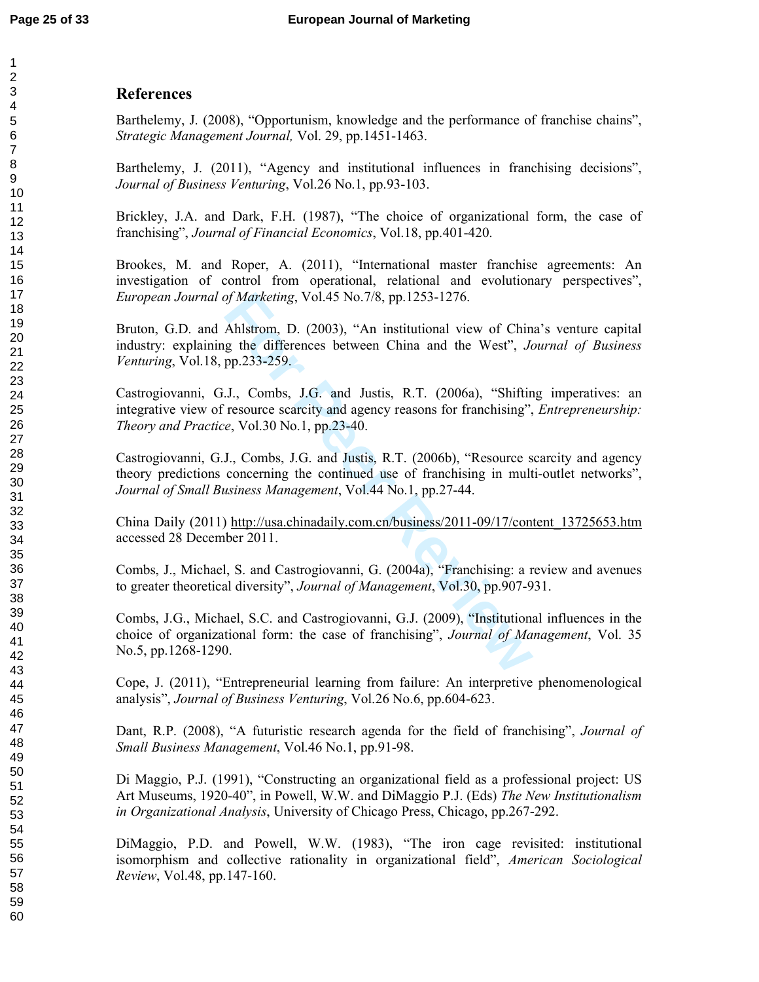# **References**

Barthelemy, J. (2008), "Opportunism, knowledge and the performance of franchise chains", *Strategic Management Journal,* Vol. 29, pp.1451-1463.

Barthelemy, J. (2011), "Agency and institutional influences in franchising decisions", *Journal of Business Venturing*, Vol.26 No.1, pp.93-103.

Brickley, J.A. and Dark, F.H. (1987), "The choice of organizational form, the case of franchising", *Journal of Financial Economics*, Vol.18, pp.401-420.

Brookes, M. and Roper, A. (2011), "International master franchise agreements: An investigation of control from operational, relational and evolutionary perspectives", *European Journal of Marketing*, Vol.45 No.7/8, pp.1253-1276.

Bruton, G.D. and Ahlstrom, D. (2003), "An institutional view of China's venture capital industry: explaining the differences between China and the West", *Journal of Business Venturing*, Vol.18, pp.233-259.

of Marketing, Vol.45 No.7/8, pp.1253-1276.<br>
Ahlstrom, D. (2003), "An institutional view of Chin<br>
ghe differences between China and the West", *Jo*<br>
pp.233-259.<br>
J., Combs, J.G. and Justis, R.T. (2006a), "Shiftin<br>
resource Castrogiovanni, G.J., Combs, J.G. and Justis, R.T. (2006a), "Shifting imperatives: an integrative view of resource scarcity and agency reasons for franchising", *Entrepreneurship: Theory and Practice*, Vol.30 No.1, pp.23-40.

Castrogiovanni, G.J., Combs, J.G. and Justis, R.T. (2006b), "Resource scarcity and agency theory predictions concerning the continued use of franchising in multi-outlet networks", *Journal of Small Business Management*, Vol.44 No.1, pp.27-44.

China Daily (2011) http://usa.chinadaily.com.cn/business/2011-09/17/content\_13725653.htm accessed 28 December 2011.

Combs, J., Michael, S. and Castrogiovanni, G. (2004a), "Franchising: a review and avenues to greater theoretical diversity", *Journal of Management*, Vol.30, pp.907-931.

Combs, J.G., Michael, S.C. and Castrogiovanni, G.J. (2009), "Institutional influences in the choice of organizational form: the case of franchising", *Journal of Management*, Vol. 35 No.5, pp.1268-1290.

Cope, J. (2011), "Entrepreneurial learning from failure: An interpretive phenomenological analysis", *Journal of Business Venturing*, Vol.26 No.6, pp.604-623.

Dant, R.P. (2008), "A futuristic research agenda for the field of franchising", *Journal of Small Business Management*, Vol.46 No.1, pp.91-98.

Di Maggio, P.J. (1991), "Constructing an organizational field as a professional project: US Art Museums, 1920-40", in Powell, W.W. and DiMaggio P.J. (Eds) *The New Institutionalism in Organizational Analysis*, University of Chicago Press, Chicago, pp.267-292.

DiMaggio, P.D. and Powell, W.W. (1983), "The iron cage revisited: institutional isomorphism and collective rationality in organizational field", *American Sociological Review*, Vol.48, pp.147-160.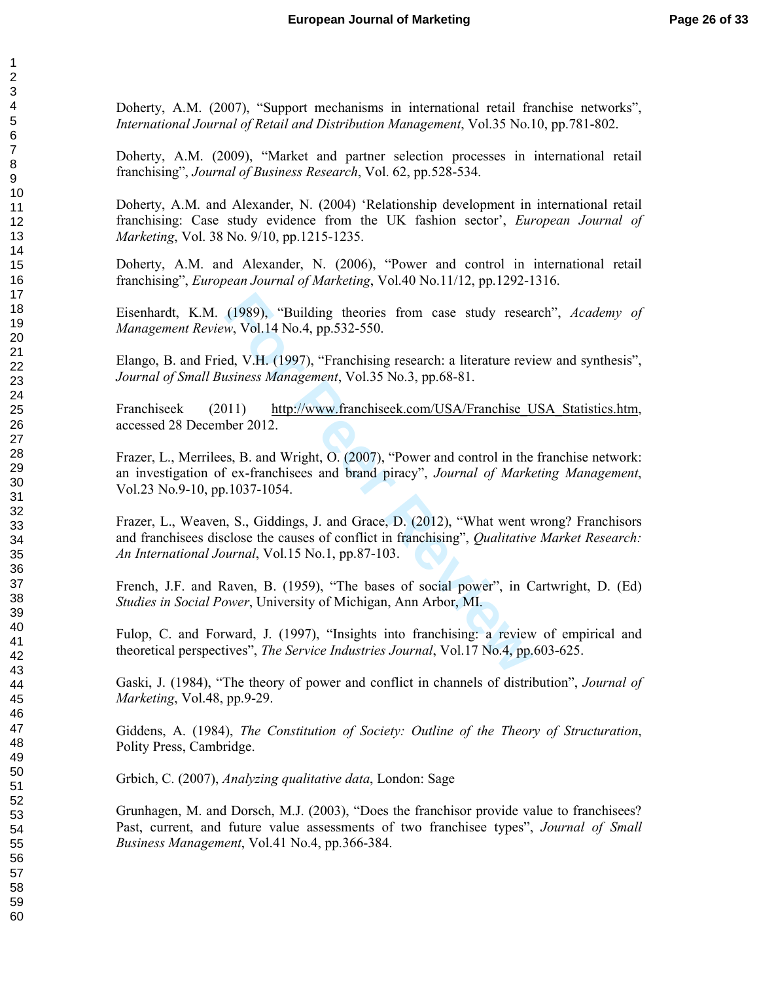Doherty, A.M. (2007), "Support mechanisms in international retail franchise networks", *International Journal of Retail and Distribution Management*, Vol.35 No.10, pp.781-802.

Doherty, A.M. (2009), "Market and partner selection processes in international retail franchising", *Journal of Business Research*, Vol. 62, pp.528-534.

Doherty, A.M. and Alexander, N. (2004) 'Relationship development in international retail franchising: Case study evidence from the UK fashion sector', *European Journal of Marketing*, Vol. 38 No. 9/10, pp.1215-1235.

Doherty, A.M. and Alexander, N. (2006), "Power and control in international retail franchising", *European Journal of Marketing*, Vol.40 No.11/12, pp.1292-1316.

Eisenhardt, K.M. (1989), "Building theories from case study research", *Academy of Management Review*, Vol.14 No.4, pp.532-550.

Elango, B. and Fried, V.H. (1997), "Franchising research: a literature review and synthesis", *Journal of Small Business Management*, Vol.35 No.3, pp.68-81.

Franchiseek (2011) http://www.franchiseek.com/USA/Franchise USA Statistics.htm, accessed 28 December 2012.

(1989), "Building theories from case study resea<br>w, Vol.14 No.4, pp.532-550.<br>ed, V.H. (1997), "Franchising research: a literature revisiness Management, Vol.35 No.3, pp.68-81.<br>1)11) http://www.franchiseek.com/USA/Franchis Frazer, L., Merrilees, B. and Wright, O. (2007), "Power and control in the franchise network: an investigation of ex-franchisees and brand piracy", *Journal of Marketing Management*, Vol.23 No.9-10, pp.1037-1054.

Frazer, L., Weaven, S., Giddings, J. and Grace, D. (2012), "What went wrong? Franchisors and franchisees disclose the causes of conflict in franchising", *Qualitative Market Research: An International Journal*, Vol.15 No.1, pp.87-103.

French, J.F. and Raven, B. (1959), "The bases of social power", in Cartwright, D. (Ed) *Studies in Social Power*, University of Michigan, Ann Arbor, MI.

Fulop, C. and Forward, J. (1997), "Insights into franchising: a review of empirical and theoretical perspectives", *The Service Industries Journal*, Vol.17 No.4, pp.603-625.

Gaski, J. (1984), "The theory of power and conflict in channels of distribution", *Journal of Marketing*, Vol.48, pp.9-29.

Giddens, A. (1984), *The Constitution of Society: Outline of the Theory of Structuration*, Polity Press, Cambridge.

Grbich, C. (2007), *Analyzing qualitative data*, London: Sage

Grunhagen, M. and Dorsch, M.J. (2003), "Does the franchisor provide value to franchisees? Past, current, and future value assessments of two franchisee types", *Journal of Small Business Management*, Vol.41 No.4, pp.366-384.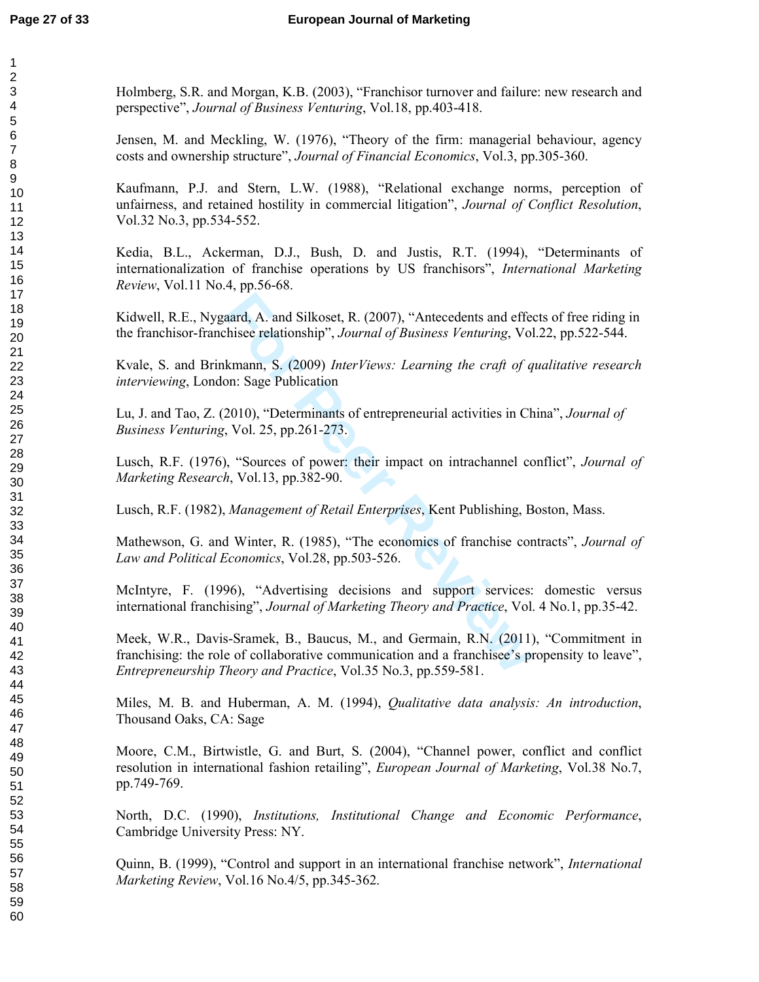Holmberg, S.R. and Morgan, K.B. (2003), "Franchisor turnover and failure: new research and perspective", *Journal of Business Venturing*, Vol.18, pp.403-418.

Jensen, M. and Meckling, W. (1976), "Theory of the firm: managerial behaviour, agency costs and ownership structure", *Journal of Financial Economics*, Vol.3, pp.305-360.

Kaufmann, P.J. and Stern, L.W. (1988), "Relational exchange norms, perception of unfairness, and retained hostility in commercial litigation", *Journal of Conflict Resolution*, Vol.32 No.3, pp.534-552.

Kedia, B.L., Ackerman, D.J., Bush, D. and Justis, R.T. (1994), "Determinants of internationalization of franchise operations by US franchisors", *International Marketing Review*, Vol.11 No.4, pp.56-68.

Kidwell, R.E., Nygaard, A. and Silkoset, R. (2007), "Antecedents and effects of free riding in the franchisor-franchisee relationship", *Journal of Business Venturing*, Vol.22, pp.522-544.

Kvale, S. and Brinkmann, S. (2009) *InterViews: Learning the craft of qualitative research interviewing*, London: Sage Publication

Lu, J. and Tao, Z. (2010), "Determinants of entrepreneurial activities in China", *Journal of Business Venturing*, Vol. 25, pp.261-273.

Lusch, R.F. (1976), "Sources of power: their impact on intrachannel conflict", *Journal of Marketing Research*, Vol.13, pp.382-90.

Lusch, R.F. (1982), *Management of Retail Enterprises*, Kent Publishing, Boston, Mass.

Mathewson, G. and Winter, R. (1985), "The economics of franchise contracts", *Journal of Law and Political Economics*, Vol.28, pp.503-526.

McIntyre, F. (1996), "Advertising decisions and support services: domestic versus international franchising", *Journal of Marketing Theory and Practice*, Vol. 4 No.1, pp.35-42.

aard, A. and Silkoset, R. (2007), "Antecedents and effechiese relationship", *Journal of Business Venturing*, Vol<br>kmann, S. (2009) *InterViews: Learning the craft of q*<br>on: Sage Publication<br>2010), "Determinants of entrepre Meek, W.R., Davis-Sramek, B., Baucus, M., and Germain, R.N. (2011), "Commitment in franchising: the role of collaborative communication and a franchisee's propensity to leave", *Entrepreneurship Theory and Practice*, Vol.35 No.3, pp.559-581.

Miles, M. B. and Huberman, A. M. (1994), *Qualitative data analysis: An introduction*, Thousand Oaks, CA: Sage

Moore, C.M., Birtwistle, G. and Burt, S. (2004), "Channel power, conflict and conflict resolution in international fashion retailing", *European Journal of Marketing*, Vol.38 No.7, pp.749-769.

North, D.C. (1990), *Institutions, Institutional Change and Economic Performance*, Cambridge University Press: NY.

Quinn, B. (1999), "Control and support in an international franchise network", *International Marketing Review*, Vol.16 No.4/5, pp.345-362.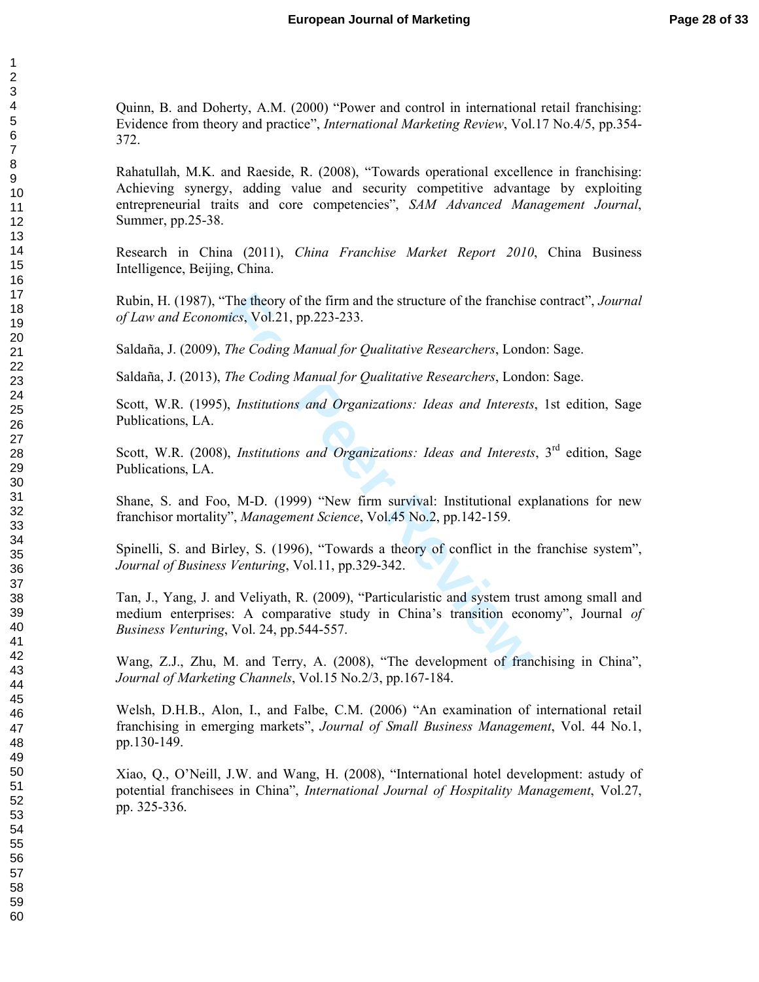Quinn, B. and Doherty, A.M. (2000) "Power and control in international retail franchising: Evidence from theory and practice", *International Marketing Review*, Vol.17 No.4/5, pp.354- 372.

Rahatullah, M.K. and Raeside, R. (2008), "Towards operational excellence in franchising: Achieving synergy, adding value and security competitive advantage by exploiting entrepreneurial traits and core competencies", *SAM Advanced Management Journal*, Summer, pp.25-38.

Research in China (2011), *China Franchise Market Report 2010*, China Business Intelligence, Beijing, China.

Rubin, H. (1987), "The theory of the firm and the structure of the franchise contract", *Journal of Law and Economics*, Vol.21, pp.223-233.

Saldaña, J. (2009), *The Coding Manual for Qualitative Researchers*, London: Sage.

Saldaña, J. (2013), *The Coding Manual for Qualitative Researchers*, London: Sage.

Scott, W.R. (1995), *Institutions and Organizations: Ideas and Interests*, 1st edition, Sage Publications, LA.

Scott, W.R. (2008), *Institutions and Organizations: Ideas and Interests*, 3<sup>rd</sup> edition, Sage Publications, LA.

Shane, S. and Foo, M-D. (1999) "New firm survival: Institutional explanations for new franchisor mortality", *Management Science*, Vol.45 No.2, pp.142-159.

Spinelli, S. and Birley, S. (1996), "Towards a theory of conflict in the franchise system", *Journal of Business Venturing*, Vol.11, pp.329-342.

The theory of the firm and the structure of the franchise<br>
ites, Vol.21, pp.223-233.<br>
The Coding Manual for Qualitative Researchers, Londe<br>
The Coding Manual for Qualitative Researchers, Londe<br>
In Coding Manual for Qualita Tan, J., Yang, J. and Veliyath, R. (2009), "Particularistic and system trust among small and medium enterprises: A comparative study in China's transition economy", Journal *of Business Venturing*, Vol. 24, pp.544-557.

Wang, Z.J., Zhu, M. and Terry, A. (2008), "The development of franchising in China", *Journal of Marketing Channels*, Vol.15 No.2/3, pp.167-184.

Welsh, D.H.B., Alon, I., and Falbe, C.M. (2006) "An examination of international retail franchising in emerging markets", *Journal of Small Business Management*, Vol. 44 No.1, pp.130-149.

Xiao, Q., O'Neill, J.W. and Wang, H. (2008), "International hotel development: astudy of potential franchisees in China", *International Journal of Hospitality Management*, Vol.27, pp. 325-336.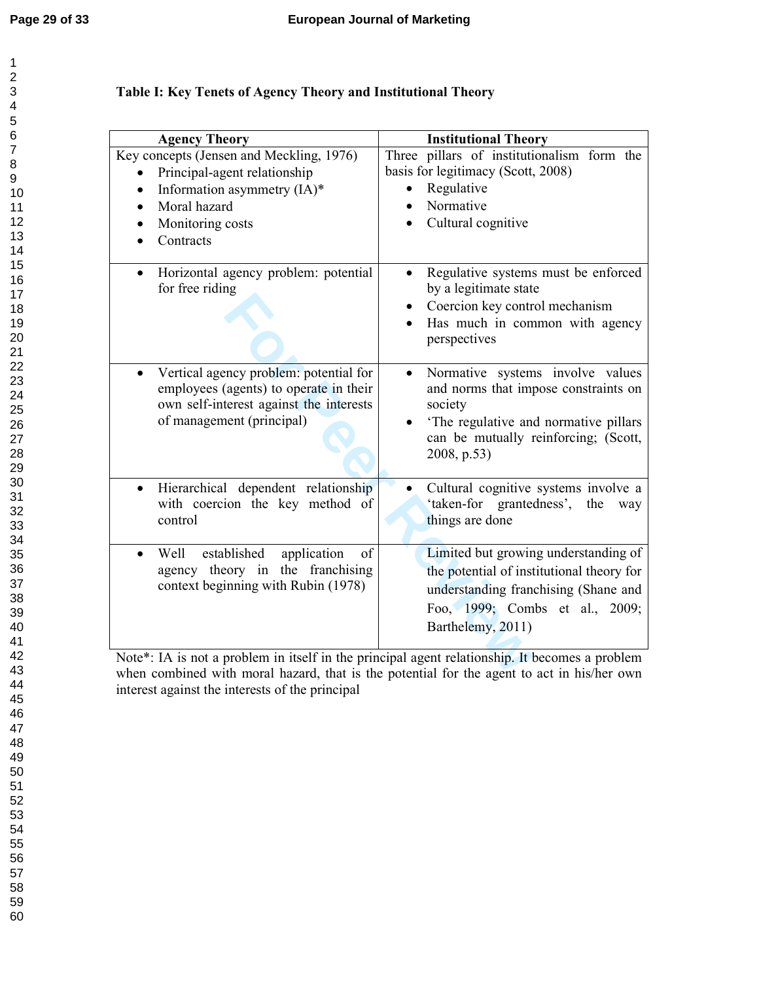| <b>Agency Theory</b>                                                                                                                                                               | <b>Institutional Theory</b>                                                                                                                                                                     |
|------------------------------------------------------------------------------------------------------------------------------------------------------------------------------------|-------------------------------------------------------------------------------------------------------------------------------------------------------------------------------------------------|
| Key concepts (Jensen and Meckling, 1976)<br>Principal-agent relationship<br>Information asymmetry (IA)*<br>$\bullet$<br>Moral hazard<br>$\bullet$<br>Monitoring costs<br>Contracts | Three pillars of institutionalism form the<br>basis for legitimacy (Scott, 2008)<br>Regulative<br>Normative<br>$\bullet$<br>Cultural cognitive<br>$\bullet$                                     |
| Horizontal agency problem: potential<br>$\bullet$<br>for free riding                                                                                                               | Regulative systems must be enforced<br>$\bullet$<br>by a legitimate state<br>Coercion key control mechanism<br>Has much in common with agency<br>perspectives                                   |
| Vertical agency problem: potential for<br>$\bullet$<br>employees (agents) to operate in their<br>own self-interest against the interests<br>of management (principal)              | Normative systems involve values<br>and norms that impose constraints on<br>society<br>The regulative and normative pillars<br>$\bullet$<br>can be mutually reinforcing; (Scott,<br>2008, p.53) |
| Hierarchical dependent relationship<br>$\bullet$<br>with coercion the key method of<br>control                                                                                     | Cultural cognitive systems involve a<br>'taken-for grantedness', the<br>way<br>things are done                                                                                                  |
| established<br>application<br>Well<br>of<br>$\bullet$<br>agency theory in the franchising<br>context beginning with Rubin (1978)                                                   | Limited but growing understanding of<br>the potential of institutional theory for<br>understanding franchising (Shane and<br>Foo, 1999; Combs et al., 2009;<br>Barthelemy, 2011)                |

# **Table I: Key Tenets of Agency Theory and Institutional Theory**

Note\*: IA is not a problem in itself in the principal agent relationship. It becomes a problem when combined with moral hazard, that is the potential for the agent to act in his/her own interest against the interests of the principal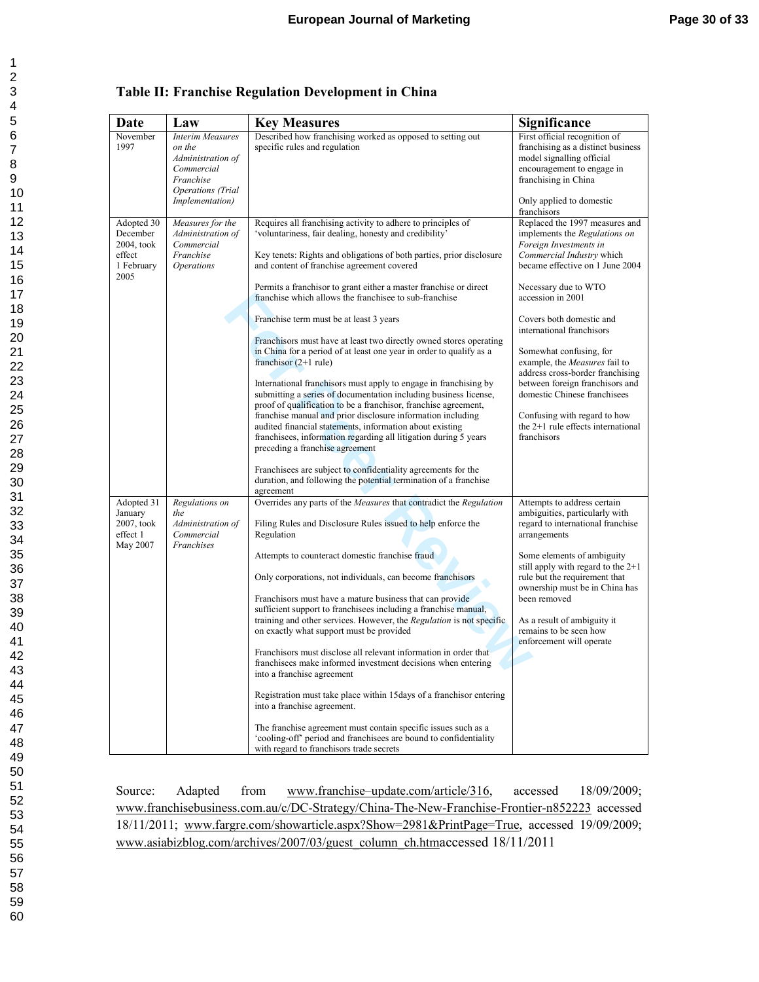|  |  |  | <b>Table II: Franchise Regulation Development in China</b> |  |
|--|--|--|------------------------------------------------------------|--|
|--|--|--|------------------------------------------------------------|--|

| Law<br><b>Interim Measures</b><br>on the                                              | <b>Key Measures</b><br>Described how franchising worked as opposed to setting out                                                                                                                                                                                                                                                                                                                                                                                                                                                                                                                                                                                                                                                                                                                                                                                                                                                                                                                                                                                                                                                                                                | Significance<br>First official recognition of                                                                                                                                                                                                                                                                                                                                                                                                                                                                           |
|---------------------------------------------------------------------------------------|----------------------------------------------------------------------------------------------------------------------------------------------------------------------------------------------------------------------------------------------------------------------------------------------------------------------------------------------------------------------------------------------------------------------------------------------------------------------------------------------------------------------------------------------------------------------------------------------------------------------------------------------------------------------------------------------------------------------------------------------------------------------------------------------------------------------------------------------------------------------------------------------------------------------------------------------------------------------------------------------------------------------------------------------------------------------------------------------------------------------------------------------------------------------------------|-------------------------------------------------------------------------------------------------------------------------------------------------------------------------------------------------------------------------------------------------------------------------------------------------------------------------------------------------------------------------------------------------------------------------------------------------------------------------------------------------------------------------|
| Administration of<br>Commercial<br>Franchise<br>Operations (Trial<br>Implementation)  | specific rules and regulation                                                                                                                                                                                                                                                                                                                                                                                                                                                                                                                                                                                                                                                                                                                                                                                                                                                                                                                                                                                                                                                                                                                                                    | franchising as a distinct business<br>model signalling official<br>encouragement to engage in<br>franchising in China<br>Only applied to domestic<br>franchisors                                                                                                                                                                                                                                                                                                                                                        |
| Measures for the<br>Administration of<br>Commercial<br>Franchise<br><b>Operations</b> | Requires all franchising activity to adhere to principles of<br>'voluntariness, fair dealing, honesty and credibility'<br>Key tenets: Rights and obligations of both parties, prior disclosure<br>and content of franchise agreement covered<br>Permits a franchisor to grant either a master franchise or direct<br>franchise which allows the franchise to sub-franchise<br>Franchise term must be at least 3 years<br>Franchisors must have at least two directly owned stores operating<br>in China for a period of at least one year in order to qualify as a<br>franchisor $(2+1)$ rule)<br>International franchisors must apply to engage in franchising by<br>submitting a series of documentation including business license,<br>proof of qualification to be a franchisor, franchise agreement,<br>franchise manual and prior disclosure information including<br>audited financial statements, information about existing<br>franchisees, information regarding all litigation during 5 years<br>preceding a franchise agreement<br>Franchisees are subject to confidentiality agreements for the<br>duration, and following the potential termination of a franchise | Replaced the 1997 measures and<br>implements the Regulations on<br>Foreign Investments in<br>Commercial Industry which<br>became effective on 1 June 2004<br>Necessary due to WTO<br>accession in 2001<br>Covers both domestic and<br>international franchisors<br>Somewhat confusing, for<br>example, the Measures fail to<br>address cross-border franchising<br>between foreign franchisors and<br>domestic Chinese franchisees<br>Confusing with regard to how<br>the 2+1 rule effects international<br>franchisors |
| Regulations on<br>the<br>Administration of<br>Commercial<br><b>Franchises</b>         | Overrides any parts of the Measures that contradict the Regulation<br>Filing Rules and Disclosure Rules issued to help enforce the<br>Regulation<br>Attempts to counteract domestic franchise fraud<br>Only corporations, not individuals, can become franchisors<br>Franchisors must have a mature business that can provide<br>sufficient support to franchisees including a franchise manual,<br>training and other services. However, the Regulation is not specific<br>on exactly what support must be provided<br>Franchisors must disclose all relevant information in order that<br>franchisees make informed investment decisions when entering<br>into a franchise agreement<br>Registration must take place within 15 days of a franchisor entering<br>into a franchise agreement.<br>The franchise agreement must contain specific issues such as a<br>'cooling-off' period and franchisees are bound to confidentiality                                                                                                                                                                                                                                             | Attempts to address certain<br>ambiguities, particularly with<br>regard to international franchise<br>arrangements<br>Some elements of ambiguity<br>still apply with regard to the $2+1$<br>rule but the requirement that<br>ownership must be in China has<br>been removed<br>As a result of ambiguity it<br>remains to be seen how<br>enforcement will operate                                                                                                                                                        |
|                                                                                       |                                                                                                                                                                                                                                                                                                                                                                                                                                                                                                                                                                                                                                                                                                                                                                                                                                                                                                                                                                                                                                                                                                                                                                                  | agreement<br>with regard to franchisors trade secrets                                                                                                                                                                                                                                                                                                                                                                                                                                                                   |

Source: Adapted from www.franchise-update.com/article/316, accessed 18/09/2009; www.franchisebusiness.com.au/c/DC-Strategy/China-The-New-Franchise-Frontier-n852223 accessed 18/11/2011; www.fargre.com/showarticle.aspx?Show=2981&PrintPage=True, accessed 19/09/2009; www.asiabizblog.com/archives/2007/03/guest\_column\_ch.htmaccessed 18/11/2011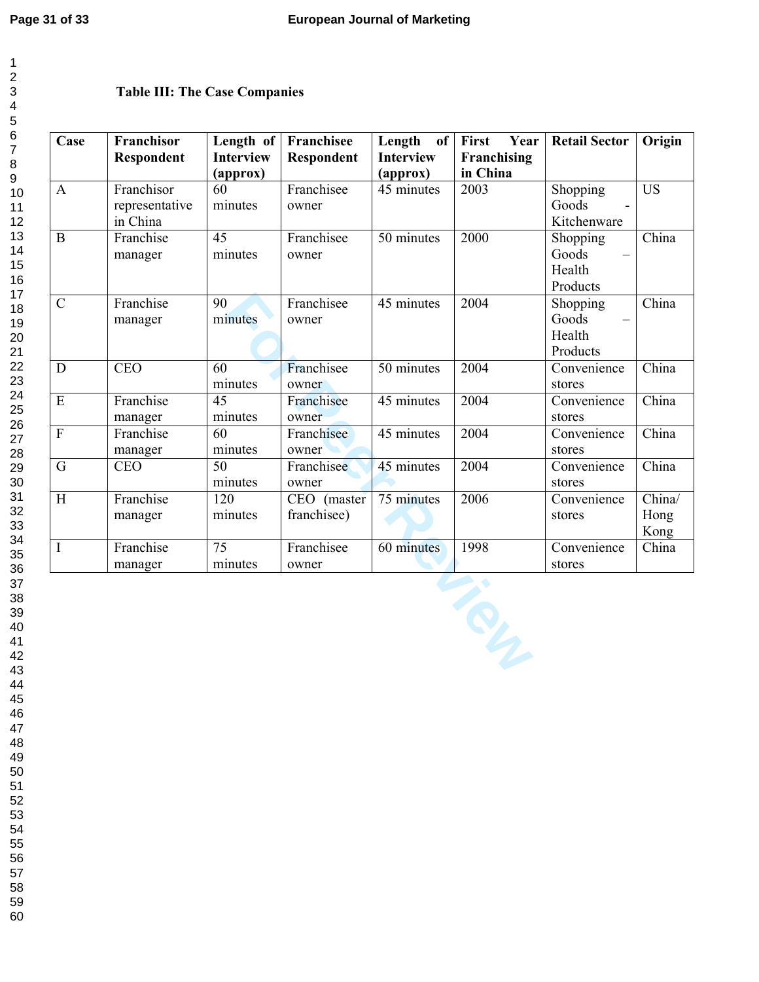$\mathbf{1}$  $\overline{2}$ 3  $\overline{\mathbf{4}}$ 

# **Table III: The Case Companies**

| Case           | Franchisor<br>Respondent                 | Length of<br><b>Interview</b><br>(approx) | Franchisee<br><b>Respondent</b> | Length<br>of <sub>l</sub><br><b>Interview</b><br>(approx) | Year<br>First<br>Franchising<br>in China | <b>Retail Sector</b>                    | Origin                 |
|----------------|------------------------------------------|-------------------------------------------|---------------------------------|-----------------------------------------------------------|------------------------------------------|-----------------------------------------|------------------------|
| $\mathbf{A}$   | Franchisor<br>representative<br>in China | 60<br>minutes                             | Franchisee<br>owner             | 45 minutes                                                | 2003                                     | Shopping<br>Goods<br>Kitchenware        | <b>US</b>              |
| $\, {\bf B}$   | Franchise<br>manager                     | $\overline{45}$<br>minutes                | Franchisee<br>owner             | 50 minutes                                                | 2000                                     | Shopping<br>Goods<br>Health<br>Products | China                  |
| $\mathcal{C}$  | Franchise<br>manager                     | 90<br>minutes                             | Franchisee<br>owner             | 45 minutes                                                | 2004                                     | Shopping<br>Goods<br>Health<br>Products | China                  |
| D              | <b>CEO</b>                               | 60<br>minutes                             | Franchisee<br>owner             | 50 minutes                                                | 2004                                     | Convenience<br>stores                   | China                  |
| ${\bf E}$      | Franchise<br>manager                     | 45<br>minutes                             | Franchisee<br>owner             | 45 minutes                                                | 2004                                     | Convenience<br>stores                   | China                  |
| $\overline{F}$ | Franchise<br>manager                     | 60<br>minutes                             | Franchisee<br>owner             | 45 minutes                                                | 2004                                     | Convenience<br>stores                   | China                  |
| G              | <b>CEO</b>                               | 50<br>minutes                             | Franchisee<br>owner             | 45 minutes                                                | 2004                                     | Convenience<br>stores                   | China                  |
| H              | Franchise<br>manager                     | 120<br>minutes                            | CEO (master<br>franchisee)      | 75 minutes                                                | 2006                                     | Convenience<br>stores                   | China/<br>Hong<br>Kong |
| I              | Franchise<br>manager                     | 75<br>minutes                             | Franchisee<br>owner             | 60 minutes                                                | 1998                                     | Convenience<br>stores                   | China                  |
|                |                                          |                                           |                                 |                                                           | OIN                                      |                                         |                        |

60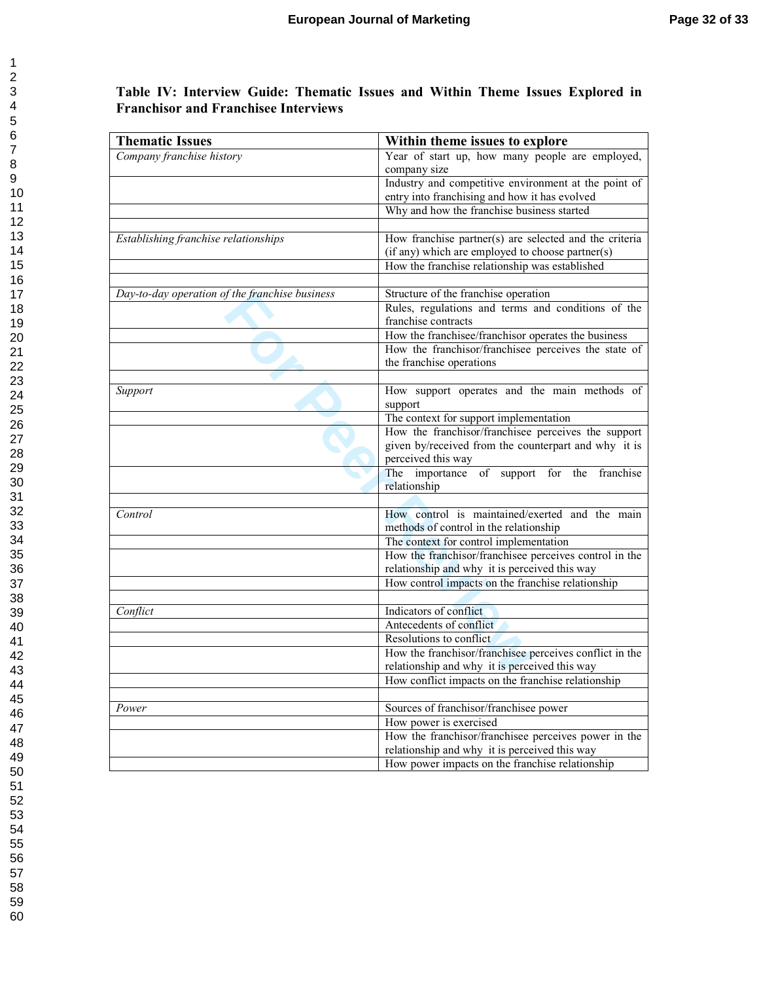# **Table IV: Interview Guide: Thematic Issues and Within Theme Issues Explored in Franchisor and Franchisee Interviews**

| <b>Thematic Issues</b>                         | Within theme issues to explore                                                                                                                                                            |
|------------------------------------------------|-------------------------------------------------------------------------------------------------------------------------------------------------------------------------------------------|
| Company franchise history                      | Year of start up, how many people are employed,<br>company size                                                                                                                           |
|                                                | Industry and competitive environment at the point of<br>entry into franchising and how it has evolved                                                                                     |
|                                                | Why and how the franchise business started                                                                                                                                                |
| Establishing franchise relationships           | How franchise partner(s) are selected and the criteria<br>(if any) which are employed to choose partner(s)<br>How the franchise relationship was established                              |
| Day-to-day operation of the franchise business | Structure of the franchise operation                                                                                                                                                      |
|                                                | Rules, regulations and terms and conditions of the<br>franchise contracts                                                                                                                 |
|                                                | How the franchisee/franchisor operates the business<br>How the franchisor/franchisee perceives the state of<br>the franchise operations                                                   |
| Support                                        | How support operates and the main methods of<br>support                                                                                                                                   |
|                                                | The context for support implementation<br>How the franchisor/franchisee perceives the support<br>given by/received from the counterpart and why it is<br>perceived this way               |
|                                                | The importance of support<br>for<br>the<br>franchise<br>relationship                                                                                                                      |
| Control                                        | How control is maintained/exerted and the main<br>methods of control in the relationship                                                                                                  |
|                                                | The context for control implementation<br>How the franchisor/franchisee perceives control in the<br>relationship and why it is perceived this way                                         |
|                                                | How control impacts on the franchise relationship                                                                                                                                         |
| Conflict                                       | Indicators of conflict<br>Antecedents of conflict                                                                                                                                         |
|                                                | Resolutions to conflict<br>How the franchisor/franchisee perceives conflict in the<br>relationship and why it is perceived this way<br>How conflict impacts on the franchise relationship |
| Power                                          | Sources of franchisor/franchisee power<br>How power is exercised                                                                                                                          |
|                                                | How the franchisor/franchisee perceives power in the<br>relationship and why it is perceived this way<br>How power impacts on the franchise relationship                                  |